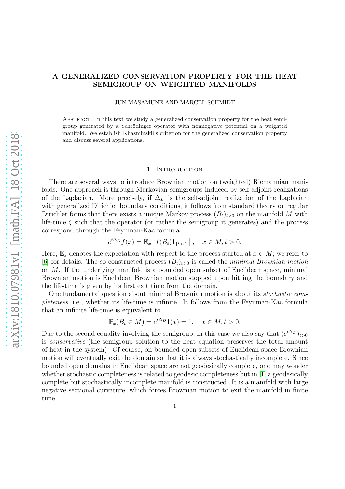# A GENERALIZED CONSERVATION PROPERTY FOR THE HEAT SEMIGROUP ON WEIGHTED MANIFOLDS

JUN MASAMUNE AND MARCEL SCHMIDT

Abstract. In this text we study a generalized conservation property for the heat semigroup generated by a Schrödinger operator with nonnegative potential on a weighted manifold. We establish Khasminskii's criterion for the generalized conservation property and discuss several applications.

## 1. INTRODUCTION

There are several ways to introduce Brownian motion on (weighted) Riemannian manifolds. One approach is through Markovian semigroups induced by self-adjoint realizations of the Laplacian. More precisely, if  $\Delta_D$  is the self-adjoint realization of the Laplacian with generalized Dirichlet boundary conditions, it follows from standard theory on regular Dirichlet forms that there exists a unique Markov process  $(B_t)_{t>0}$  on the manifold M with life-time  $\zeta$  such that the operator (or rather the semigroup it generates) and the process correspond through the Feynman-Kac formula

$$
e^{t\Delta_D}f(x) = \mathbb{E}_x\left[f(B_t)1_{\{t < \zeta\}}\right], \quad x \in M, t > 0.
$$

Here,  $\mathbb{E}_x$  denotes the expectation with respect to the process started at  $x \in M$ ; we refer to [\[6\]](#page-32-0) for details. The so-constructed process  $(B_t)_{t>0}$  is called the minimal Brownian motion on M. If the underlying manifold is a bounded open subset of Euclidean space, minimal Brownian motion is Euclidean Brownian motion stopped upon hitting the boundary and the life-time is given by its first exit time from the domain.

One fundamental question about minimal Brownian motion is about its stochastic completeness, i.e., whether its life-time is infinite. It follows from the Feynman-Kac formula that an infinite life-time is equivalent to

$$
\mathbb{P}_x(B_t \in M) = e^{t\Delta_D} \mathbf{1}(x) = 1, \quad x \in M, t > 0.
$$

Due to the second equality involving the semigroup, in this case we also say that  $(e^{t\Delta_D})_{t>0}$ is conservative (the semigroup solution to the heat equation preserves the total amount of heat in the system). Of course, on bounded open subsets of Euclidean space Brownian motion will eventually exit the domain so that it is always stochastically incomplete. Since bounded open domains in Euclidean space are not geodesically complete, one may wonder whether stochastic completeness is related to geodesic completeness but in [\[1\]](#page-32-1) a geodesically complete but stochastically incomplete manifold is constructed. It is a manifold with large negative sectional curvature, which forces Brownian motion to exit the manifold in finite time.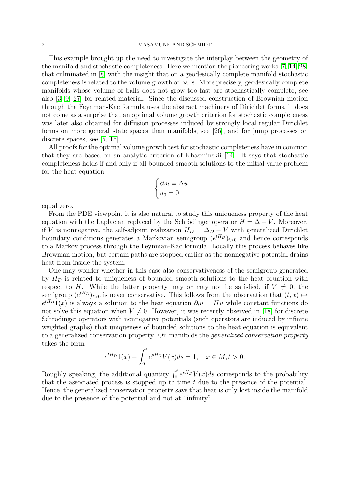This example brought up the need to investigate the interplay between the geometry of the manifold and stochastic completeness. Here we mention the pioneering works [\[7,](#page-32-2) [14,](#page-33-0) [28\]](#page-33-1) that culminated in [\[8\]](#page-32-3) with the insight that on a geodesically complete manifold stochastic completeness is related to the volume growth of balls. More precisely, geodesically complete manifolds whose volume of balls does not grow too fast are stochastically complete, see also [\[3,](#page-32-4) [9,](#page-32-5) [27\]](#page-33-2) for related material. Since the discussed construction of Brownian motion through the Feynman-Kac formula uses the abstract machinery of Dirichlet forms, it does not come as a surprise that an optimal volume growth criterion for stochastic completeness was later also obtained for diffusion processes induced by strongly local regular Dirichlet forms on more general state spaces than manifolds, see [\[26\]](#page-33-3), and for jump processes on discrete spaces, see [\[5,](#page-32-6) [15\]](#page-33-4).

All proofs for the optimal volume growth test for stochastic completeness have in common that they are based on an analytic criterion of Khasminskii [\[14\]](#page-33-0). It says that stochastic completeness holds if and only if all bounded smooth solutions to the initial value problem for the heat equation

$$
\begin{cases} \partial_t u = \Delta u \\ u_0 = 0 \end{cases}
$$

equal zero.

From the PDE viewpoint it is also natural to study this uniqueness property of the heat equation with the Laplacian replaced by the Schrödinger operator  $H = \Delta - V$ . Moreover, if V is nonnegative, the self-adjoint realization  $H_D = \Delta_D - V$  with generalized Dirichlet boundary conditions generates a Markovian semigroup  $(e^{tH_D})_{t>0}$  and hence corresponds to a Markov process through the Feynman-Kac formula. Locally this process behaves like Brownian motion, but certain paths are stopped earlier as the nonnegative potential drains heat from inside the system.

One may wonder whether in this case also conservativeness of the semigroup generated by  $H_D$  is related to uniqueness of bounded smooth solutions to the heat equation with respect to H. While the latter property may or may not be satisfied, if  $V \neq 0$ , the semigroup  $(e^{tH_D})_{t>0}$  is never conservative. This follows from the observation that  $(t, x) \mapsto$  $e^{tH_D}1(x)$  is always a solution to the heat equation  $\partial_t u = Hu$  while constant functions do not solve this equation when  $V \neq 0$ . However, it was recently observed in [\[18\]](#page-33-5) for discrete Schrödinger operators with nonnegative potentials (such operators are induced by infinite weighted graphs) that uniqueness of bounded solutions to the heat equation is equivalent to a generalized conservation property. On manifolds the generalized conservation property takes the form

$$
e^{tH_D}1(x) + \int_0^t e^{sH_D}V(x)ds = 1, \quad x \in M, t > 0.
$$

Roughly speaking, the additional quantity  $\int_0^t e^{sH_D} V(x) ds$  corresponds to the probability that the associated process is stopped up to time  $t$  due to the presence of the potential. Hence, the generalized conservation property says that heat is only lost inside the manifold due to the presence of the potential and not at "infinity".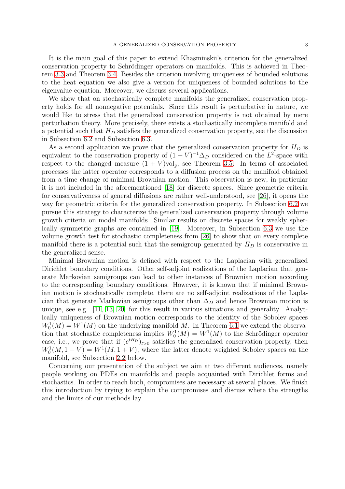It is the main goal of this paper to extend Khasminskii's criterion for the generalized conservation property to Schrödinger operators on manifolds. This is achieved in Theorem [3.3](#page-9-0) and Theorem [3.4.](#page-10-0) Besides the criterion involving uniqueness of bounded solutions to the heat equation we also give a version for uniqueness of bounded solutions to the eigenvalue equation. Moreover, we discuss several applications.

We show that on stochastically complete manifolds the generalized conservation property holds for all nonnegative potentials. Since this result is perturbative in nature, we would like to stress that the generalized conservation property is not obtained by mere perturbation theory. More precisely, there exists a stochastically incomplete manifold and a potential such that  $H_D$  satisfies the generalized conservation property, see the discussion in Subsection [6.2](#page-23-0) and Subsection [6.3.](#page-26-0)

As a second application we prove that the generalized conservation property for  $H_D$  is equivalent to the conservation property of  $(1 + V)^{-1} \Delta_D$  considered on the L<sup>2</sup>-space with respect to the changed measure  $(1 + V) \text{vol}_q$ , see Theorem 3.5. In terms of associated processes the latter operator corresponds to a diffusion process on the manifold obtained from a time change of minimal Brownian motion. This observation is new, in particular it is not included in the aforementioned [\[18\]](#page-33-5) for discrete spaces. Since geometric criteria for conservativeness of general diffusions are rather well-understood, see [\[26\]](#page-33-3), it opens the way for geometric criteria for the generalized conservation property. In Subsection [6.2](#page-23-0) we pursue this strategy to characterize the generalized conservation property through volume growth criteria on model manifolds. Similar results on discrete spaces for weakly spherically symmetric graphs are contained in [\[19\]](#page-33-6). Moreover, in Subsection [6.3](#page-26-0) we use the volume growth test for stochastic completeness from [\[26\]](#page-33-3) to show that on every complete manifold there is a potential such that the semigroup generated by  $H_D$  is conservative in the generalized sense.

Minimal Brownian motion is defined with respect to the Laplacian with generalized Dirichlet boundary conditions. Other self-adjoint realizations of the Laplacian that generate Markovian semigroups can lead to other instances of Brownian motion according to the corresponding boundary conditions. However, it is known that if minimal Brownian motion is stochastically complete, there are no self-adjoint realizations of the Laplacian that generate Markovian semigroups other than  $\Delta_D$  and hence Brownian motion is unique, see e.g. [\[11,](#page-33-7) [13,](#page-33-8) [20\]](#page-33-9) for this result in various situations and generality. Analytically uniqueness of Brownian motion corresponds to the identity of the Sobolev spaces  $W_0^1(M) = W^1(M)$  on the underlying manifold M. In Theorem [6.1](#page-22-0) we extend the observation that stochastic completeness implies  $W_0^1(M) = W^1(M)$  to the Schrödinger operator case, i.e., we prove that if  $(e^{tH_D})_{t>0}$  satisfies the generalized conservation property, then  $W_0^1(M, 1+V) = W^1(M, 1+V)$ , where the latter denote weighted Sobolev spaces on the manifold, see Subsection [2.2](#page-5-0) below.

Concerning our presentation of the subject we aim at two different audiences, namely people working on PDEs on manifolds and people acquainted with Dirichlet forms and stochastics. In order to reach both, compromises are necessary at several places. We finish this introduction by trying to explain the compromises and discuss where the strengths and the limits of our methods lay.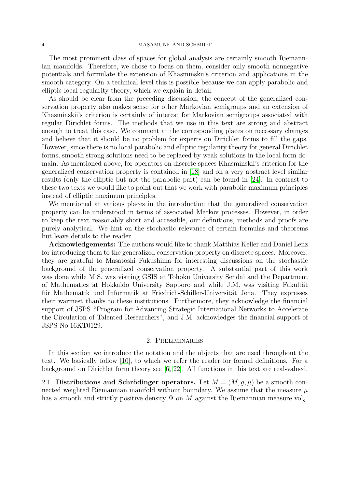The most prominent class of spaces for global analysis are certainly smooth Riemannian manifolds. Therefore, we chose to focus on them, consider only smooth nonnegative potentials and formulate the extension of Khasminskii's criterion and applications in the smooth category. On a technical level this is possible because we can apply parabolic and elliptic local regularity theory, which we explain in detail.

As should be clear from the preceding discussion, the concept of the generalized conservation property also makes sense for other Markovian semigroups and an extension of Khasminskii's criterion is certainly of interest for Markovian semigroups associated with regular Dirichlet forms. The methods that we use in this text are strong and abstract enough to treat this case. We comment at the corresponding places on necessary changes and believe that it should be no problem for experts on Dirichlet forms to fill the gaps. However, since there is no local parabolic and elliptic regularity theory for general Dirichlet forms, smooth strong solutions need to be replaced by weak solutions in the local form domain. As mentioned above, for operators on discrete spaces Khasminskii's criterion for the generalized conservation property is contained in [\[18\]](#page-33-5) and on a very abstract level similar results (only the elliptic but not the parabolic part) can be found in [\[24\]](#page-33-10). In contrast to these two texts we would like to point out that we work with parabolic maximum principles instead of elliptic maximum principles.

We mentioned at various places in the introduction that the generalized conservation property can be understood in terms of associated Markov processes. However, in order to keep the text reasonably short and accessible, our definitions, methods and proofs are purely analytical. We hint on the stochastic relevance of certain formulas and theorems but leave details to the reader.

Acknowledgements: The authors would like to thank Matthias Keller and Daniel Lenz for introducing them to the generalized conservation property on discrete spaces. Moreover, they are grateful to Masatoshi Fukushima for interesting discussions on the stochastic background of the generalized conservation property. A substantial part of this work was done while M.S. was visiting GSIS at Tohoku University Sendai and the Department of Mathematics at Hokkaido University Sapporo and while J.M. was visiting Fakultät für Mathematik und Informatik at Friedrich-Schiller-Universität Jena. They expresses their warmest thanks to these institutions. Furthermore, they acknowledge the financial support of JSPS "Program for Advancing Strategic International Networks to Accelerate the Circulation of Talented Researchers", and J.M. acknowledges the financial support of JSPS No.16KT0129.

## 2. Preliminaries

In this section we introduce the notation and the objects that are used throughout the text. We basically follow [\[10\]](#page-32-7), to which we refer the reader for formal definitions. For a background on Dirichlet form theory see [\[6,](#page-32-0) [22\]](#page-33-11). All functions in this text are real-valued.

2.1. Distributions and Schrödinger operators. Let  $M = (M, g, \mu)$  be a smooth connected weighted Riemannian manifold without boundary. We assume that the measure  $\mu$ has a smooth and strictly positive density  $\Psi$  on M against the Riemannian measure vol<sub>g</sub>.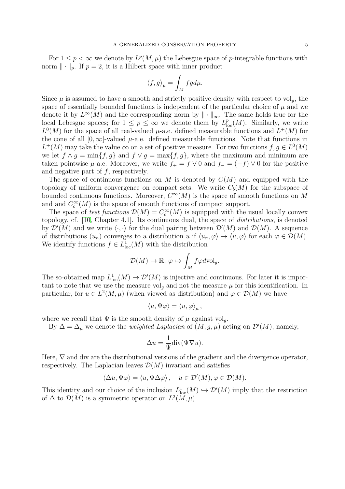For  $1 \leq p < \infty$  we denote by  $L^p(M, \mu)$  the Lebesgue space of p-integrable functions with norm  $\|\cdot\|_p$ . If  $p = 2$ , it is a Hilbert space with inner product

$$
\langle f,g\rangle_{\mu}=\int_M fg d\mu.
$$

Since  $\mu$  is assumed to have a smooth and strictly positive density with respect to vol<sub>g</sub>, the space of essentially bounded functions is independent of the particular choice of  $\mu$  and we denote it by  $L^{\infty}(M)$  and the corresponding norm by  $\|\cdot\|_{\infty}$ . The same holds true for the local Lebesgue spaces; for  $1 \leq p \leq \infty$  we denote them by  $L_{\text{loc}}^p(M)$ . Similarly, we write  $L^0(M)$  for the space of all real-valued  $\mu$ -a.e. defined measurable functions and  $L^+(M)$  for the cone of all  $[0, \infty]$ -valued  $\mu$ -a.e. defined measurable functions. Note that functions in  $L^+(M)$  may take the value  $\infty$  on a set of positive measure. For two functions  $f, g \in L^0(M)$ we let  $f \wedge g = \min\{f, g\}$  and  $f \vee g = \max\{f, g\}$ , where the maximum and minimum are taken pointwise  $\mu$ -a.e. Moreover, we write  $f_{+} = f \vee 0$  and  $f_{-} = (-f) \vee 0$  for the positive and negative part of  $f$ , respectively.

The space of continuous functions on M is denoted by  $C(M)$  and equipped with the topology of uniform convergence on compact sets. We write  $C_b(M)$  for the subspace of bounded continuous functions. Moreover,  $C^{\infty}(M)$  is the space of smooth functions on M and and  $C_c^{\infty}(M)$  is the space of smooth functions of compact support.

The space of test functions  $\mathcal{D}(M) = C_c^{\infty}(M)$  is equipped with the usual locally convex topology, cf. [\[10,](#page-32-7) Chapter 4.1]. Its continuous dual, the space of distributions, is denoted by  $\mathcal{D}'(M)$  and we write  $\langle \cdot, \cdot \rangle$  for the dual pairing between  $\mathcal{D}'(M)$  and  $\mathcal{D}(M)$ . A sequence of distributions  $(u_n)$  converges to a distribution u if  $\langle u_n, \varphi \rangle \to \langle u, \varphi \rangle$  for each  $\varphi \in \mathcal{D}(M)$ . We identify functions  $f \in L^1_{loc}(M)$  with the distribution

$$
\mathcal{D}(M) \to \mathbb{R}, \, \varphi \mapsto \int_M f \varphi d\mathrm{vol}_g.
$$

The so-obtained map  $L^1_{loc}(M) \to \mathcal{D}'(M)$  is injective and continuous. For later it is important to note that we use the measure  $\mathrm{vol}_q$  and not the measure  $\mu$  for this identification. In particular, for  $u \in L^2(M, \mu)$  (when viewed as distribution) and  $\varphi \in \mathcal{D}(M)$  we have

$$
\langle u, \Psi \varphi \rangle = \langle u, \varphi \rangle_{\mu},
$$

where we recall that  $\Psi$  is the smooth density of  $\mu$  against vol<sub>q</sub>.

By  $\Delta = \Delta_{\mu}$  we denote the *weighted Laplacian* of  $(M, g, \mu)$  acting on  $\mathcal{D}'(M)$ ; namely,

$$
\Delta u = \frac{1}{\Psi} \text{div}(\Psi \nabla u).
$$

Here,  $\nabla$  and div are the distributional versions of the gradient and the divergence operator, respectively. The Laplacian leaves  $\mathcal{D}(M)$  invariant and satisfies

$$
\langle \Delta u, \Psi \varphi \rangle = \langle u, \Psi \Delta \varphi \rangle, \quad u \in \mathcal{D}'(M), \varphi \in \mathcal{D}(M).
$$

This identity and our choice of the inclusion  $L^1_{loc}(M) \hookrightarrow \mathcal{D}'(M)$  imply that the restriction of  $\Delta$  to  $\mathcal{D}(M)$  is a symmetric operator on  $L^2(M,\mu)$ .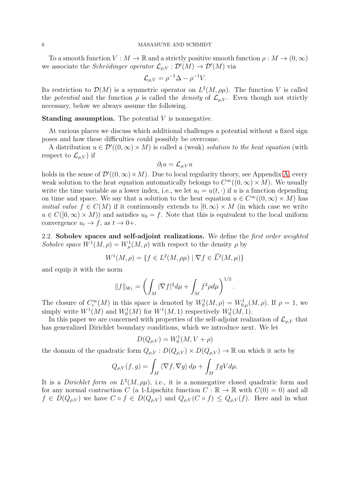To a smooth function  $V : M \to \mathbb{R}$  and a strictly positive smooth function  $\rho : M \to (0, \infty)$ we associate the *Schrödinger operator*  $\mathcal{L}_{\rho,V} : \mathcal{D}'(M) \to \mathcal{D}'(M)$  via

$$
\mathcal{L}_{\rho,V} = \rho^{-1} \Delta - \rho^{-1} V.
$$

Its restriction to  $\mathcal{D}(M)$  is a symmetric operator on  $L^2(M, \rho\mu)$ . The function V is called the potential and the function  $\rho$  is called the *density* of  $\mathcal{L}_{\rho,V}$ . Even though not strictly necessary, below we always assume the following.

**Standing assumption.** The potential  $V$  is nonnegative.

At various places we discuss which additional challenges a potential without a fixed sign poses and how these difficulties could possibly be overcome.

A distribution  $u \in \mathcal{D}'((0,\infty) \times M)$  is called a (weak) solution to the heat equation (with respect to  $\mathcal{L}_{\rho,V}$  if

$$
\partial_t u = \mathcal{L}_{\rho,V} u
$$

holds in the sense of  $\mathcal{D}'((0,\infty)\times M)$ . Due to local regularity theory, see Appendix [A,](#page-28-0) every weak solution to the heat equation automatically belongs to  $C^{\infty}((0,\infty) \times M)$ . We usually write the time variable as a lower index, i.e., we let  $u_t = u(t, \cdot)$  if u is a function depending on time and space. We say that a solution to the heat equation  $u \in C^{\infty}((0, \infty) \times M)$  has *initial value*  $f \in C(M)$  if it continuously extends to  $[0, \infty) \times M$  (in which case we write  $u \in C([0,\infty) \times M)$  and satisfies  $u_0 = f$ . Note that this is equivalent to the local uniform convergence  $u_t \to f$ , as  $t \to 0+$ .

<span id="page-5-0"></span>2.2. Sobolev spaces and self-adjoint realizations. We define the *first order weighted* Sobolev space  $W^1(M,\rho) = W^1_\mu(M,\rho)$  with respect to the density  $\rho$  by

$$
W^{1}(M,\rho) = \{ f \in L^{2}(M,\rho\mu) \mid \nabla f \in \vec{L}^{2}(M,\mu) \}
$$

and equip it with the norm

$$
||f||_{W_1} = \left(\int_M |\nabla f|^2 d\mu + \int_M f^2 \rho d\mu\right)^{1/2}.
$$

The closure of  $C_c^{\infty}(M)$  in this space is denoted by  $W_0^1(M,\rho) = W_{0,\mu}^1(M,\rho)$ . If  $\rho = 1$ , we simply write  $W^1(M)$  and  $W_0^1(M)$  for  $W^1(M, 1)$  respectively  $W_0^1(M, 1)$ .

In this paper we are concerned with properties of the self-adjoint realization of  $\mathcal{L}_{\rho,V}$  that has generalized Dirichlet boundary conditions, which we introduce next. We let

$$
D(Q_{\rho,V}) = W_0^1(M, V + \rho)
$$

the domain of the quadratic form  $Q_{\rho,V} : D(Q_{\rho,V}) \times D(Q_{\rho,V}) \to \mathbb{R}$  on which it acts by

$$
Q_{\rho,V}(f,g) = \int_M \langle \nabla f, \nabla g \rangle d\mu + \int_M fgV d\mu.
$$

It is a *Dirichlet form on*  $L^2(M, \rho\mu)$ , i.e., it is a nonnegative closed quadratic form and for any normal contraction C (a 1-Lipschitz function  $C : \mathbb{R} \to \mathbb{R}$  with  $C(0) = 0$ ) and all  $f \in D(Q_{\rho,V})$  we have  $C \circ f \in D(Q_{\rho,V})$  and  $Q_{\rho,V}(C \circ f) \leq Q_{\rho,V}(f)$ . Here and in what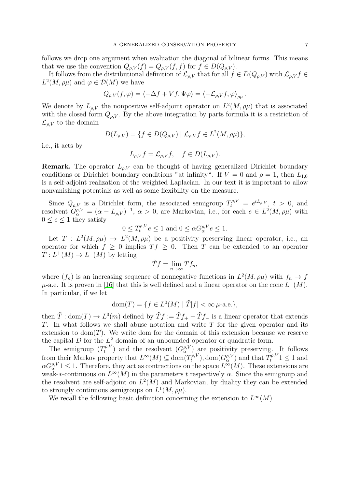follows we drop one argument when evaluation the diagonal of bilinear forms. This means that we use the convention  $Q_{\rho,V}(f) = Q_{\rho,V}(f, f)$  for  $f \in D(Q_{\rho,V}).$ 

It follows from the distributional definition of  $\mathcal{L}_{\rho,V}$  that for all  $f \in D(Q_{\rho,V})$  with  $\mathcal{L}_{\rho,V} f \in$  $L^2(M, \rho\mu)$  and  $\varphi \in \mathcal{D}(M)$  we have

$$
Q_{\rho,V}(f,\varphi)=\langle -\Delta f+Vf,\Psi\varphi\rangle=\langle -\mathcal{L}_{\rho,V}f,\varphi\rangle_{\rho\mu}.
$$

We denote by  $L_{\rho,V}$  the nonpositive self-adjoint operator on  $L^2(M, \rho\mu)$  that is associated with the closed form  $Q_{\rho,V}$ . By the above integration by parts formula it is a restriction of  $\mathcal{L}_{\rho,V}$  to the domain

$$
D(L_{\rho,V}) = \{ f \in D(Q_{\rho,V}) \mid \mathcal{L}_{\rho,V} f \in L^2(M, \rho \mu) \},
$$

i.e., it acts by

$$
L_{\rho,V}f = \mathcal{L}_{\rho,V}f, \quad f \in D(L_{\rho,V}).
$$

**Remark.** The operator  $L_{\rho,V}$  can be thought of having generalized Dirichlet boundary conditions or Dirichlet boundary conditions "at infinity". If  $V = 0$  and  $\rho = 1$ , then  $L_{1,0}$ is a self-adjoint realization of the weighted Laplacian. In our text it is important to allow nonvanishing potentials as well as some flexibility on the measure.

Since  $Q_{\rho,V}$  is a Dirichlet form, the associated semigroup  $T_t^{\rho,V} = e^{tL_{\rho,V}}, t > 0$ , and resolvent  $G_{\alpha}^{\rho,V} = (\alpha - L_{\rho,V})^{-1}$ ,  $\alpha > 0$ , are Markovian, i.e., for each  $e \in L^2(M, \rho\mu)$  with  $0 \le e \le 1$  they satisfy

 $0 \leq T_t^{\rho,V} e \leq 1$  and  $0 \leq \alpha G_\alpha^{\rho,V} e \leq 1$ .

Let  $T: L^2(M, \rho\mu) \to L^2(M, \rho\mu)$  be a positivity preserving linear operator, i.e., an operator for which  $f \geq 0$  implies  $T f \geq 0$ . Then T can be extended to an operator  $\tilde{T}: L^+(M) \to L^+(M)$  by letting

$$
\tilde{T}f = \lim_{n \to \infty} Tf_n,
$$

where  $(f_n)$  is an increasing sequence of nonnegative functions in  $L^2(M, \rho\mu)$  with  $f_n \to f$  $\mu$ -a.e. It is proven in [\[16\]](#page-33-12) that this is well defined and a linear operator on the cone  $L^+(M)$ . In particular, if we let

$$
dom(T) = \{ f \in L^0(M) \mid \tilde{T}|f| < \infty \ \mu\text{-a.e.} \},
$$

then  $\tilde{T}$ : dom $(T) \to L^{0}(m)$  defined by  $\tilde{T} f := \tilde{T} f_{+} - \tilde{T} f_{-}$  is a linear operator that extends T. In what follows we shall abuse notation and write  $T$  for the given operator and its extension to  $dom(T)$ . We write dom for the domain of this extension because we reserve the capital  $D$  for the  $L^2$ -domain of an unbounded operator or quadratic form.

The semigroup  $(T_t^{\rho,V})$  $(t_t^{p,V})$  and the resolvent  $(G_\alpha^{p,V})$  are positivity preserving. It follows from their Markov property that  $L^{\infty}(M) \subseteq \text{dom}(T_t^{\rho,V})$  $(t_t^{\rho,V}), \text{dom}(G_{\alpha}^{\rho,V})$  and that  $T_t^{\rho,V}$  1  $\leq$  1 and  $\alpha G_{\alpha}^{\rho,V} 1 \leq 1$ . Therefore, they act as contractions on the space  $L^{\infty}(M)$ . These extensions are weak-∗-continuous on  $L^{\infty}(M)$  in the parameters t respectively  $\alpha$ . Since the semigroup and the resolvent are self-adjoint on  $L^2(M)$  and Markovian, by duality they can be extended to strongly continuous semigroups on  $L^1(M, \rho\mu)$ .

We recall the following basic definition concerning the extension to  $L^{\infty}(M)$ .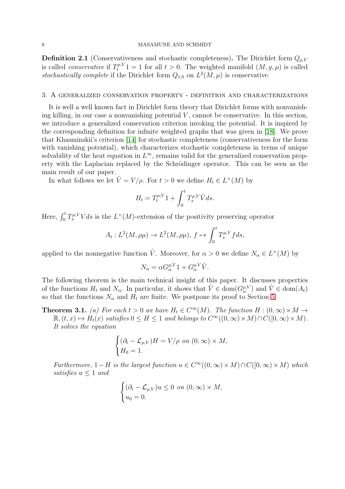**Definition 2.1** (Conservativeness and stochastic completeness). The Dirichlet form  $Q_{\rho,V}$ is called *conservative* if  $T_t^{\rho,V}1 = 1$  for all  $t > 0$ . The weighted manifold  $(M, g, \mu)$  is called stochastically complete if the Dirichlet form  $Q_{1,0}$  on  $L^2(M,\mu)$  is conservative.

## 3. A generalized conservation property - definition and characterizations

It is well a well known fact in Dirichlet form theory that Dirichlet forms with nonvanishing killing, in our case a nonvanishing potential  $V$ , cannot be conservative. In this section, we introduce a generalized conservation criterion invoking the potential. It is inspired by the corresponding definition for infinite weighted graphs that was given in [\[18\]](#page-33-5). We prove that Khasminskii's criterion [\[14\]](#page-33-0) for stochastic completeness (conservativeness for the form with vanishing potential), which characterizes stochastic completeness in terms of unique solvability of the heat equation in  $L^{\infty}$ , remains valid for the generalized conservation property with the Laplacian replaced by the Schrödinger operator. This can be seen as the main result of our paper.

In what follows we let  $\hat{V} = V/\rho$ . For  $t > 0$  we define  $H_t \in L^+(M)$  by

$$
H_t = T_t^{\rho,V} 1 + \int_0^t T_s^{\rho,V} \hat{V} ds.
$$

Here,  $\int_0^t T_s^{\rho,V} V ds$  is the  $L^+(M)$ -extension of the positivity preserving operator

$$
A_t: L^2(M, \rho\mu) \to L^2(M, \rho\mu), f \mapsto \int_0^t T_s^{\rho, V} f ds,
$$

applied to the nonnegative function  $\hat{V}$ . Moreover, for  $\alpha > 0$  we define  $N_{\alpha} \in L^+(M)$  by

$$
N_{\alpha} = \alpha G_{\alpha}^{\rho, V} 1 + G_{\alpha}^{\rho, V} \hat{V}.
$$

The following theorem is the main technical insight of this paper. It discusses properties of the functions  $H_t$  and  $N_\alpha$ . In particular, it shows that  $\hat{V} \in \text{dom}(G_\alpha^{\rho,V})$  and  $\hat{V} \in \text{dom}(A_t)$ so that the functions  $N_{\alpha}$  and  $H_t$  are finite. We postpone its proof to Section [5.](#page-15-0)

**Theorem 3.1.** (a) For each  $t > 0$  we have  $H_t \in C^{\infty}(M)$ . The function  $H : (0, \infty) \times M \rightarrow$  $\mathbb{R},(t,x) \mapsto H_t(x)$  satisfies  $0 \le H \le 1$  and belongs to  $C^{\infty}((0,\infty) \times M) \cap C([0,\infty) \times M)$ . It solves the equation

$$
\begin{cases} (\partial_t - \mathcal{L}_{\rho,V})H = V/\rho \text{ on } (0,\infty) \times M, \\ H_0 = 1. \end{cases}
$$

Furthermore,  $1-H$  is the largest function  $u \in C^{\infty}((0,\infty) \times M) \cap C([0,\infty) \times M)$  which satisfies  $u \leq 1$  and

$$
\begin{cases} (\partial_t - \mathcal{L}_{\rho,V})u \le 0 \text{ on } (0,\infty) \times M, \\ u_0 = 0. \end{cases}
$$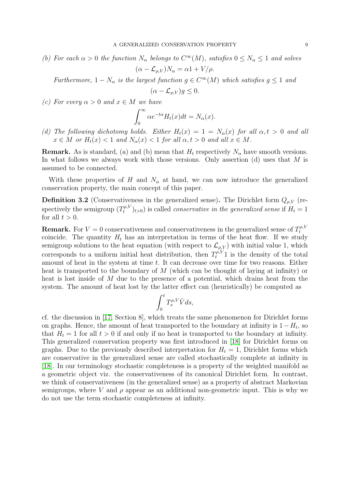(b) For each  $\alpha > 0$  the function  $N_{\alpha}$  belongs to  $C^{\infty}(M)$ , satisfies  $0 \le N_{\alpha} \le 1$  and solves

$$
(\alpha - \mathcal{L}_{\rho,V})N_{\alpha} = \alpha 1 + V/\rho.
$$

Furthermore,  $1 - N_{\alpha}$  is the largest function  $g \in C^{\infty}(M)$  which satisfies  $g \leq 1$  and

$$
(\alpha - \mathcal{L}_{\rho,V})g \leq 0.
$$

(c) For every  $\alpha > 0$  and  $x \in M$  we have

$$
\int_0^\infty \alpha e^{-t\alpha} H_t(x) dt = N_\alpha(x).
$$

(d) The following dichotomy holds. Either  $H_t(x) = 1 = N_\alpha(x)$  for all  $\alpha, t > 0$  and all  $x \in M$  or  $H_t(x) < 1$  and  $N_\alpha(x) < 1$  for all  $\alpha, t > 0$  and all  $x \in M$ .

**Remark.** As is standard, (a) and (b) mean that  $H_t$  respectively  $N_\alpha$  have smooth versions. In what follows we always work with those versions. Only assertion  $(d)$  uses that M is assumed to be connected.

With these properties of H and  $N_{\alpha}$  at hand, we can now introduce the generalized conservation property, the main concept of this paper.

**Definition 3.2** (Conservativeness in the generalized sense). The Dirichlet form  $Q_{\rho,V}$  (respectively the semigroup  $(T_t^{\rho,V})$  $(t_t^{p,v})_{t>0})$  is called *conservative in the generalized sense* if  $H_t = 1$ for all  $t > 0$ .

**Remark.** For  $V = 0$  conservativeness and conservativeness in the generalized sense of  $T_t^{\rho, V}$ t coincide. The quantity  $H_t$  has an interpretation in terms of the heat flow. If we study semigroup solutions to the heat equation (with respect to  $\mathcal{L}_{\rho,V}$ ) with initial value 1, which corresponds to a uniform initial heat distribution, then  $T_t^{\rho,V}$  is the density of the total amount of heat in the system at time t. It can decrease over time for two reasons. Either heat is transported to the boundary of M (which can be thought of laying at infinity) or heat is lost inside of M due to the presence of a potential, which drains heat from the system. The amount of heat lost by the latter effect can (heuristically) be computed as

$$
\int_0^t T_s^{\rho,V} \hat{V} ds,
$$

cf. the discussion in [\[17,](#page-33-13) Section 8], which treats the same phenomenon for Dirichlet forms on graphs. Hence, the amount of heat transported to the boundary at infinity is  $1 - H_t$ , so that  $H_t = 1$  for all  $t > 0$  if and only if no heat is transported to the boundary at infinity. This generalized conservation property was first introduced in [\[18\]](#page-33-5) for Dirichlet forms on graphs. Due to the previously described interpretation for  $H_t = 1$ , Dirichlet forms which are conservative in the generalized sense are called stochastically complete at infinity in [\[18\]](#page-33-5). In our terminology stochastic completeness is a property of the weighted manifold as a geometric object viz. the conservativeness of its canonical Dirichlet form. In contrast, we think of conservativeness (in the generalized sense) as a property of abstract Markovian semigroups, where V and  $\rho$  appear as an additional non-geometric input. This is why we do not use the term stochastic completeness at infinity.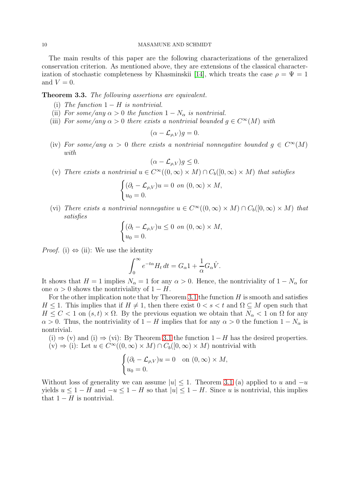The main results of this paper are the following characterizations of the generalized conservation criterion. As mentioned above, they are extensions of the classical character-ization of stochastic completeness by Khasminskii [\[14\]](#page-33-0), which treats the case  $\rho = \Psi = 1$ and  $V = 0$ .

<span id="page-9-0"></span>Theorem 3.3. The following assertions are equivalent.

- (i) The function  $1 H$  is nontrivial.
- (ii) For some/any  $\alpha > 0$  the function  $1 N_{\alpha}$  is nontrivial.
- (iii) For some/any  $\alpha > 0$  there exists a nontrivial bounded  $g \in C^{\infty}(M)$  with

$$
(\alpha - \mathcal{L}_{\rho,V})g = 0.
$$

(iv) For some/any  $\alpha > 0$  there exists a nontrivial nonnegative bounded  $g \in C^{\infty}(M)$ with

$$
(\alpha - \mathcal{L}_{\rho,V})g \leq 0.
$$

(v) There exists a nontrivial  $u \in C^{\infty}((0, \infty) \times M) \cap C_b([0, \infty) \times M)$  that satisfies

$$
\begin{cases} (\partial_t - \mathcal{L}_{\rho,V})u = 0 \text{ on } (0,\infty) \times M, \\ u_0 = 0. \end{cases}
$$

(vi) There exists a nontrivial nonnegative  $u \in C^{\infty}((0,\infty) \times M) \cap C_b([0,\infty) \times M)$  that satisfies

$$
\begin{cases} (\partial_t - \mathcal{L}_{\rho,V})u \leq 0 \text{ on } (0,\infty) \times M, \\ u_0 = 0. \end{cases}
$$

*Proof.* (i)  $\Leftrightarrow$  (ii): We use the identity

$$
\int_0^\infty e^{-t\alpha} H_t dt = G_\alpha 1 + \frac{1}{\alpha} G_\alpha \hat{V}.
$$

It shows that  $H = 1$  implies  $N_{\alpha} = 1$  for any  $\alpha > 0$ . Hence, the nontriviality of  $1 - N_{\alpha}$  for one  $\alpha > 0$  shows the nontriviality of  $1 - H$ .

For the other implication note that by Theorem 3.1 the function  $H$  is smooth and satisfies  $H \leq 1$ . This implies that if  $H \neq 1$ , then there exist  $0 < s < t$  and  $\Omega \subseteq M$  open such that  $H \leq C < 1$  on  $(s, t) \times \Omega$ . By the previous equation we obtain that  $N_{\alpha} < 1$  on  $\Omega$  for any  $\alpha > 0$ . Thus, the nontriviality of  $1 - H$  implies that for any  $\alpha > 0$  the function  $1 - N_{\alpha}$  is nontrivial.

 $(i)$  ⇒ (v) and  $(i)$  ⇒ (vi): By Theorem 3.1 the function  $1-H$  has the desired properties.  $(v) \Rightarrow (i)$ : Let  $u \in C^{\infty}((0, \infty) \times M) \cap C_b([0, \infty) \times M)$  nontrivial with

$$
\begin{cases} (\partial_t - \mathcal{L}_{\rho,V})u = 0 & \text{on } (0,\infty) \times M, \\ u_0 = 0. & \end{cases}
$$

Without loss of generality we can assume  $|u| \leq 1$ . Theorem 3.1 (a) applied to u and  $-u$ yields  $u \leq 1 - H$  and  $-u \leq 1 - H$  so that  $|u| \leq 1 - H$ . Since u is nontrivial, this implies that  $1 - H$  is nontrivial.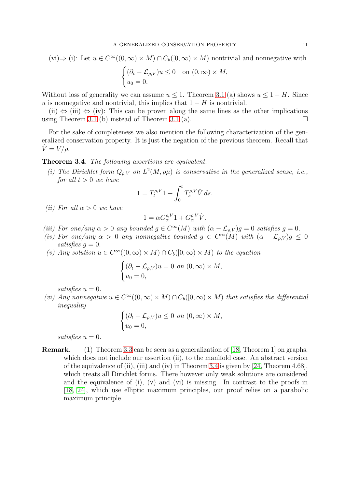$$
(vi) \Rightarrow (i): \text{ Let } u \in C^{\infty}((0, \infty) \times M) \cap C_b([0, \infty) \times M) \text{ nontrivial and nonnegative with}
$$

$$
\begin{cases} (\partial_t - \mathcal{L}_{\rho, V})u \le 0 & \text{on } (0, \infty) \times M, \\ u_0 = 0. \end{cases}
$$

Without loss of generality we can assume  $u \leq 1$ . Theorem 3.1 (a) shows  $u \leq 1 - H$ . Since u is nonnegative and nontrivial, this implies that  $1 - H$  is nontrivial.

(ii)  $\Leftrightarrow$  (iii)  $\Leftrightarrow$  (iv): This can be proven along the same lines as the other implications using Theorem 3.1 (b) instead of Theorem 3.1 (a).  $\Box$ 

For the sake of completeness we also mention the following characterization of the generalized conservation property. It is just the negation of the previous theorem. Recall that  $\hat{V}=V/\rho$ .

# <span id="page-10-0"></span>Theorem 3.4. The following assertions are equivalent.

(i) The Dirichlet form  $Q_{\rho,V}$  on  $L^2(M, \rho\mu)$  is conservative in the generalized sense, i.e., for all  $t > 0$  we have

$$
1 = T_t^{\rho,V} 1 + \int_0^t T_s^{\rho,V} \hat{V} ds.
$$

(*ii*) For all  $\alpha > 0$  we have

$$
1 = \alpha G_{\alpha}^{\rho, V} 1 + G_{\alpha}^{\rho, V} \hat{V}.
$$

- (iii) For one/any  $\alpha > 0$  any bounded  $g \in C^{\infty}(M)$  with  $(\alpha \mathcal{L}_{\rho,V})g = 0$  satisfies  $g = 0$ .
- (iv) For one/any  $\alpha > 0$  any nonnegative bounded  $g \in C^{\infty}(M)$  with  $(\alpha \mathcal{L}_{\rho,V})g \leq 0$ satisfies  $q = 0$ .
- (v) Any solution  $u \in C^{\infty}((0,\infty) \times M) \cap C_b([0,\infty) \times M)$  to the equation

$$
\begin{cases} (\partial_t - \mathcal{L}_{\rho,V})u = 0 \text{ on } (0,\infty) \times M, \\ u_0 = 0, \end{cases}
$$

satisfies  $u = 0$ .

(vi) Any nonnegative  $u \in C^{\infty}((0,\infty) \times M) \cap C_b([0,\infty) \times M)$  that satisfies the differential inequality

$$
\begin{cases} (\partial_t - \mathcal{L}_{\rho,V})u \le 0 \text{ on } (0,\infty) \times M, \\ u_0 = 0, \end{cases}
$$

satisfies  $u = 0$ .

Remark. (1) Theorem [3.3](#page-9-0) can be seen as a generalization of [\[18,](#page-33-5) Theorem 1] on graphs, which does not include our assertion (ii), to the manifold case. An abstract version of the equivalence of (ii), (iii) and (iv) in Theorem [3.4](#page-10-0) is given by [\[24,](#page-33-10) Theorem 4.68], which treats all Dirichlet forms. There however only weak solutions are considered and the equivalence of (i), (v) and (vi) is missing. In contrast to the proofs in [\[18,](#page-33-5) [24\]](#page-33-10), which use elliptic maximum principles, our proof relies on a parabolic maximum principle.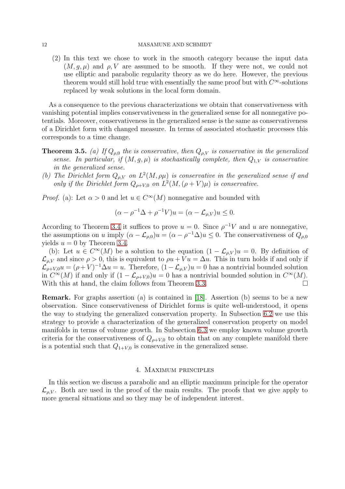(2) In this text we chose to work in the smooth category because the input data  $(M, q, \mu)$  and  $\rho$ , V are assumed to be smooth. If they were not, we could not use elliptic and parabolic regularity theory as we do here. However, the previous theorem would still hold true with essentially the same proof but with  $C^{\infty}$ -solutions replaced by weak solutions in the local form domain.

As a consequence to the previous characterizations we obtain that conservativeness with vanishing potential implies conservativeness in the generalized sense for all nonnegative potentials. Moreover, conservativeness in the generalized sense is the same as conservativeness of a Dirichlet form with changed measure. In terms of associated stochastic processes this corresponds to a time change.

- **Theorem 3.5.** (a) If  $Q_{\rho,0}$  the is conservative, then  $Q_{\rho,V}$  is conservative in the generalized sense. In particular, if  $(M, g, \mu)$  is stochastically complete, then  $Q_{1,V}$  is conservative in the generalized sense.
- (b) The Dirichlet form  $Q_{\rho,V}$  on  $L^2(M,\rho\mu)$  is conservative in the generalized sense if and only if the Dirichlet form  $Q_{\rho+V,0}$  on  $L^2(M, (\rho + V)\mu)$  is conservative.

*Proof.* (a): Let  $\alpha > 0$  and let  $u \in C^{\infty}(M)$  nonnegative and bounded with

$$
(\alpha - \rho^{-1}\Delta + \rho^{-1}V)u = (\alpha - \mathcal{L}_{\rho,V})u \le 0.
$$

According to Theorem [3.4](#page-10-0) it suffices to prove  $u = 0$ . Since  $\rho^{-1}V$  and u are nonnegative, the assumptions on u imply  $(\alpha - \mathcal{L}_{\rho,0})u = (\alpha - \rho^{-1}\Delta)u \leq 0$ . The conservativeness of  $Q_{\rho,0}$ yields  $u = 0$  by Theorem [3.4.](#page-10-0)

(b): Let  $u \in C^{\infty}(M)$  be a solution to the equation  $(1 - \mathcal{L}_{\rho,V})u = 0$ . By definition of  $\mathcal{L}_{\rho,V}$  and since  $\rho > 0$ , this is equivalent to  $\rho u + Vu = \Delta u$ . This in turn holds if and only if  $\mathcal{L}_{\rho+V,0}u=(\rho+V)^{-1}\Delta u=u.$  Therefore,  $(1-\mathcal{L}_{\rho,V})u=0$  has a nontrivial bounded solution in  $C^{\infty}(M)$  if and only if  $(1 - \mathcal{L}_{\rho+V,0})u = 0$  has a nontrivial bounded solution in  $C^{\infty}(M)$ . With this at hand, the claim follows from Theorem [3.3.](#page-9-0)

Remark. For graphs assertion (a) is contained in [\[18\]](#page-33-5). Assertion (b) seems to be a new observation. Since conservativeness of Dirichlet forms is quite well-understood, it opens the way to studying the generalized conservation property. In Subsection [6.2](#page-23-0) we use this strategy to provide a characterization of the generalized conservation property on model manifolds in terms of volume growth. In Subsection [6.3](#page-26-0) we employ known volume growth criteria for the conservativeness of  $Q_{\rho+V,0}$  to obtain that on any complete manifold there is a potential such that  $Q_{1+V,0}$  is consevative in the generalized sense.

## 4. Maximum principles

<span id="page-11-0"></span>In this section we discuss a parabolic and an elliptic maximum principle for the operator  $\mathcal{L}_{\alpha,V}$ . Both are used in the proof of the main results. The proofs that we give apply to more general situations and so they may be of independent interest.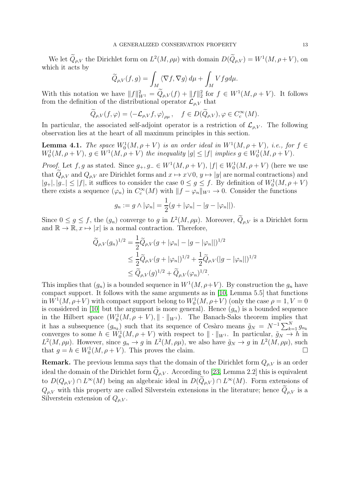We let  $\hat{Q}_{\rho,V}$  the Dirichlet form on  $L^2(M,\rho\mu)$  with domain  $D(\hat{Q}_{\rho,V}) = W^1(M,\rho+V)$ , on which it acts by

$$
\widetilde{Q}_{\rho,V}(f,g) = \int_M \langle \nabla f, \nabla g \rangle \, d\mu + \int_M V f g d\mu.
$$

With this notation we have  $||f||_{W^1}^2 = Q_{\rho,V}(f) + ||f||_2^2$  for  $f \in W^1(M, \rho + V)$ . It follows from the definition of the distributional operator  $\mathcal{L}_{\rho,V}$  that

$$
\widetilde{Q}_{\rho,V}(f,\varphi) = \left\langle -\mathcal{L}_{\rho,V}f,\varphi \right\rangle_{\rho\mu}, \quad f \in D(\widetilde{Q}_{\rho,V}), \varphi \in C_c^{\infty}(M).
$$

In particular, the associated self-adjoint operator is a restriction of  $\mathcal{L}_{\rho,V}$ . The following observation lies at the heart of all maximum principles in this section.

<span id="page-12-0"></span>**Lemma 4.1.** The space  $W_0^1(M, \rho + V)$  is an order ideal in  $W^1(M, \rho + V)$ , i.e., for  $f \in$  $W_0^1(M, \rho + V), g \in W^1(M, \rho + V)$  the inequality  $|g| \leq |f|$  implies  $g \in W_0^1(M, \rho + V)$ .

*Proof.* Let f, g as stated. Since  $g_+, g_- \in W^1(M, \rho + V)$ ,  $|f| \in W_0^1(M, \rho + V)$  (here we use that  $Q_{\rho,V}$  and  $Q_{\rho,V}$  are Dirichlet forms and  $x \mapsto x \vee 0$ ,  $y \mapsto |y|$  are normal contractions) and  $|g_+|, |g_-| \leq |f|$ , it suffices to consider the case  $0 \leq g \leq f$ . By definition of  $W_0^1(M, \rho + V)$ there exists a sequence  $(\varphi_n)$  in  $C_c^{\infty}(M)$  with  $||f - \varphi_n||_{W^1} \to 0$ . Consider the functions

$$
g_n := g \wedge |\varphi_n| = \frac{1}{2}(g + |\varphi_n| - |g - |\varphi_n||).
$$

Since  $0 \leq g \leq f$ , the  $(g_n)$  converge to g in  $L^2(M, \rho\mu)$ . Moreover,  $Q_{\rho,V}$  is a Dirichlet form and  $\mathbb{R} \to \mathbb{R}, x \mapsto |x|$  is a normal contraction. Therefore,

$$
\widetilde{Q}_{\rho,V}(g_n)^{1/2} = \frac{1}{2} \widetilde{Q}_{\rho,V}(g + |\varphi_n| - |g - |\varphi_n||)^{1/2}
$$
  
\n
$$
\leq \frac{1}{2} \widetilde{Q}_{\rho,V}(g + |\varphi_n|)^{1/2} + \frac{1}{2} \widetilde{Q}_{\rho,V}(|g - |\varphi_n||)^{1/2}
$$
  
\n
$$
\leq \widetilde{Q}_{\rho,V}(g)^{1/2} + \widetilde{Q}_{\rho,V}(\varphi_n)^{1/2}.
$$

This implies that  $(g_n)$  is a bounded sequence in  $W^1(M, \rho + V)$ . By construction the  $g_n$  have compact support. It follows with the same arguments as in [\[10,](#page-32-7) Lemma 5.5] that functions in  $W^1(M,\rho+V)$  with compact support belong to  $W_0^1(M,\rho+V)$  (only the case  $\rho=1, V=0$ is considered in [\[10\]](#page-32-7) but the argument is more general). Hence  $(g_n)$  is a bounded sequence in the Hilbert space  $(W_0^1(M, \rho + V), \| \cdot \|_{W^1})$ . The Banach-Saks theorem implies that it has a subsequence  $(g_{n_k})$  such that its sequence of Cesàro means  $\tilde{g}_N = N^{-1} \sum_{k=1}^N g_{n_k}$ converges to some  $h \in W_0^1(M, \rho + V)$  with respect to  $\|\cdot\|_{W^1}$ . In particular,  $\tilde{g}_N \to h$  in  $L^2(M, \rho\mu)$ . However, since  $g_n \to g$  in  $L^2(M, \rho\mu)$ , we also have  $\tilde{g}_N \to g$  in  $L^2(M, \rho\mu)$ , such that  $g = h \in W_0^1(M, \rho + V)$ . This proves the claim.

**Remark.** The previous lemma says that the domain of the Dirichlet form  $Q_{\rho,V}$  is an order ideal the domain of the Dirichlet form  $Q_{\rho,V}$ . According to [\[23,](#page-33-14) Lemma 2.2] this is equivalent to  $D(Q_{\rho,V}) \cap L^{\infty}(M)$  being an algebraic ideal in  $D(Q_{\rho,V}) \cap L^{\infty}(M)$ . Form extensions of  $Q_{\rho,V}$  with this property are called Silverstein extensions in the literature; hence  $\tilde{Q}_{\rho,V}$  is a Silverstein extension of  $Q_{\rho,V}$ .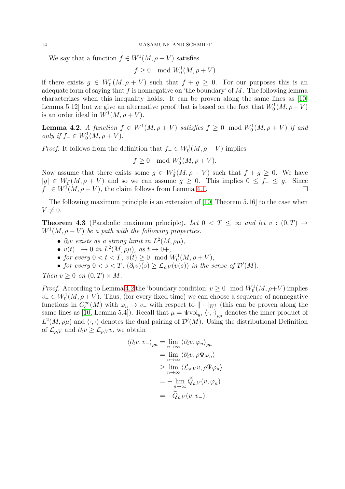We say that a function  $f \in W^1(M, \rho + V)$  satisfies

 $f \geq 0 \mod W_0^1(M,\rho+V)$ 

if there exists  $g \in W_0^1(M, \rho + V)$  such that  $f + g \geq 0$ . For our purposes this is an adequate form of saying that f is nonnegative on 'the boundary' of  $M$ . The following lemma characterizes when this inequality holds. It can be proven along the same lines as [\[10,](#page-32-7) Lemma 5.12] but we give an alternative proof that is based on the fact that  $W_0^1(M, \rho + V)$ is an order ideal in  $W^1(M, \rho + V)$ .

<span id="page-13-0"></span>**Lemma 4.2.** A function  $f \in W^1(M, \rho + V)$  satisfies  $f \geq 0 \mod W_0^1(M, \rho + V)$  if and *only if*  $f_$  ∈  $W_0^1(M, \rho + V)$ .

*Proof.* It follows from the definition that  $f_-\in W_0^1(M,\rho+V)$  implies

 $f \ge 0 \mod W_0^1(M, \rho + V).$ 

Now assume that there exists some  $g \in W_0^1(M, \rho + V)$  such that  $f + g \geq 0$ . We have  $|g| \in W_0^1(M, \rho + V)$  and so we can assume  $g \geq 0$ . This implies  $0 \leq f_- \leq g$ . Since  $f_{-} \in W^{1}(M, \rho + V)$ , the claim follows from Lemma [4.1.](#page-12-0)

The following maximum principle is an extension of [\[10,](#page-32-7) Theorem 5.16] to the case when  $V \neq 0.$ 

<span id="page-13-1"></span>**Theorem 4.3** (Parabolic maximum principle). Let  $0 < T \leq \infty$  and let  $v : (0, T) \rightarrow$  $W^1(M,\rho+V)$  be a path with the following properties.

- $\partial_t v$  exists as a strong limit in  $L^2(M, \rho\mu)$ ,
- $v(t)$ <sub>-</sub> → 0 in  $L^2(M, \rho\mu)$ , as  $t \to 0^+,$
- for every  $0 < t < T$ ,  $v(t) \ge 0 \mod W_0^1(M, \rho + V)$ ,
- for every  $0 < s < T$ ,  $(\partial_t v)(s) \geq \mathcal{L}_{\rho,V}(v(s))$  in the sense of  $\mathcal{D}'(M)$ .

Then  $v > 0$  on  $(0, T) \times M$ .

*Proof.* According to Lemma [4.2](#page-13-0) the 'boundary condition'  $v \ge 0$  mod  $W_0^1(M, \rho+V)$  implies  $v_-\in W_0^1(M,\rho+V)$ . Thus, (for every fixed time) we can choose a sequence of nonnegative functions in  $C_c^{\infty}(M)$  with  $\varphi_n \to v_-$  with respect to  $\|\cdot\|_{W^1}$  (this can be proven along the same lines as [\[10,](#page-32-7) Lemma 5.4]). Recall that  $\mu = \Psi \text{vol}_g$ ,  $\langle \cdot, \cdot \rangle_{\rho\mu}$  denotes the inner product of  $L^2(M, \rho\mu)$  and  $\langle \cdot, \cdot \rangle$  denotes the dual pairing of  $\mathcal{D}'(M)$ . Using the distributional Definition of  $\mathcal{L}_{\rho,V}$  and  $\partial_t v \geq \mathcal{L}_{\rho,V} v$ , we obtain

$$
\langle \partial_t v, v_- \rangle_{\rho \mu} = \lim_{n \to \infty} \langle \partial_t v, \varphi_n \rangle_{\rho \mu}
$$
  
= 
$$
\lim_{n \to \infty} \langle \partial_t v, \rho \Psi \varphi_n \rangle
$$
  

$$
\geq \lim_{n \to \infty} \langle \mathcal{L}_{\rho, V} v, \rho \Psi \varphi_n \rangle
$$
  
= 
$$
- \lim_{n \to \infty} \widetilde{Q}_{\rho, V}(v, \varphi_n)
$$
  
= 
$$
- \widetilde{Q}_{\rho, V}(v, v_-).
$$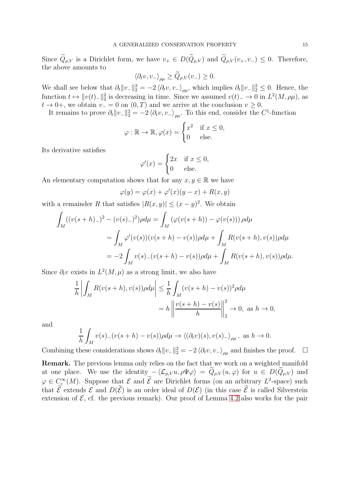Since  $\widetilde{Q}_{\rho,V}$  is a Dirichlet form, we have  $v_+ \in D(\widetilde{Q}_{\rho,V})$  and  $\widetilde{Q}_{\rho,V}(v_+,v_-) \leq 0$ . Therefore, the above amounts to

$$
\langle \partial_t v, v_- \rangle_{\rho \mu} \ge \widetilde{Q}_{\rho, V}(v_-) \ge 0.
$$

We shall see below that  $\partial_t ||v_-||_2^2 = -2 \langle \partial_t v, v_-\rangle_{\rho\mu}$ , which implies  $\partial_t ||v_-||_2^2 \leq 0$ . Hence, the function  $t \mapsto ||v(t)_{-}||_{2}^{2}$  is decreasing in time. Since we assumed  $v(t)_{-} \to 0$  in  $L^{2}(M, \rho\mu)$ , as  $t \to 0^+,$  we obtain  $v_0 = 0$  on  $(0, T)$  and we arrive at the conclusion  $v \geq 0$ .

It remains to prove  $\partial_t ||v_-||_2^2 = -2 \langle \partial_t v, v_- \rangle_{\rho \mu}$ . To this end, consider the C<sup>1</sup>-function

$$
\varphi : \mathbb{R} \to \mathbb{R}, \varphi(x) = \begin{cases} x^2 & \text{if } x \le 0, \\ 0 & \text{else.} \end{cases}
$$

Its derivative satisfies

$$
\varphi'(x) = \begin{cases} 2x & \text{if } x \le 0, \\ 0 & \text{else.} \end{cases}
$$

An elementary computation shows that for any  $x, y \in \mathbb{R}$  we have

$$
\varphi(y) = \varphi(x) + \varphi'(x)(y - x) + R(x, y)
$$

with a remainder R that satisfies  $|R(x, y)| \leq (x - y)^2$ . We obtain

$$
\int_{M} ((v(s+h)_{-})^{2} - (v(s)_{-})^{2}) \rho d\mu = \int_{M} (\varphi(v(s+h)) - \varphi(v(s))) \rho d\mu
$$
\n
$$
= \int_{M} \varphi'(v(s)) (v(s+h) - v(s)) \rho d\mu + \int_{M} R(v(s+h), v(s)) \rho d\mu
$$
\n
$$
= -2 \int_{M} v(s)_{-} (v(s+h) - v(s)) \rho d\mu + \int_{M} R(v(s+h), v(s)) \rho d\mu.
$$

Since  $\partial_t v$  exists in  $L^2(M, \mu)$  as a strong limit, we also have

$$
\frac{1}{h} \left| \int_M R(v(s+h), v(s)) \rho d\mu \right| \leq \frac{1}{h} \int_M (v(s+h) - v(s))^2 \rho d\mu
$$

$$
= h \left\| \frac{v(s+h) - v(s)}{h} \right\|_2^2 \to 0, \text{ as } h \to 0,
$$

and

$$
\frac{1}{h}\int_M v(s)_-(v(s+h)-v(s))\rho d\mu \to \langle (\partial_t v)(s), v(s)_-\rangle_{\rho\mu}, \text{ as } h \to 0.
$$

Combining these considerations shows  $\partial_t ||v_-||_2^2 = -2 \langle \partial_t v, v_-\rangle_{\rho\mu}$  and finishes the proof.  $\Box$ 

Remark. The previous lemma only relies on the fact that we work on a weighted manifold at one place. We use the identity  $-\langle \mathcal{L}_{\rho,V} u, \rho \Psi \varphi \rangle = \widetilde{Q}_{\rho,V}(u, \varphi)$  for  $u \in D(\widetilde{Q}_{\rho,V})$  and  $\varphi \in C_c^{\infty}(M)$ . Suppose that  $\mathcal E$  and  $\mathcal E$  are Dirichlet forms (on an arbitrary  $L^2$ -space) such that  $\tilde{\mathcal{E}}$  extends  $\mathcal{E}$  and  $D(\tilde{\mathcal{E}})$  is an order ideal of  $D(\mathcal{E})$  (in this case  $\tilde{\mathcal{E}}$  is called Silverstein extension of  $\mathcal{E}$ , cf. the previous remark). Our proof of Lemma [4.2](#page-13-0) also works for the pair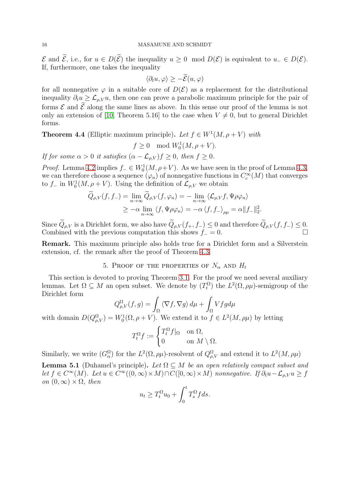$\mathcal E$  and  $\widetilde{\mathcal E}$ , i.e., for  $u \in D(\widetilde{\mathcal E})$  the inequality  $u \geq 0 \mod D(\mathcal E)$  is equivalent to  $u_-\in D(\mathcal E)$ . If, furthermore, one takes the inequality

$$
\langle \partial_t u, \varphi \rangle \geq -\widetilde{\mathcal{E}}(u, \varphi)
$$

for all nonnegative  $\varphi$  in a suitable core of  $D(\mathcal{E})$  as a replacement for the distributional inequality  $\partial_t u \geq \mathcal{L}_{\rho,V} u$ , then one can prove a parabolic maximum principle for the pair of forms  $\mathcal E$  and  $\widetilde{\mathcal E}$  along the same lines as above. In this sense our proof of the lemma is not only an extension of [\[10,](#page-32-7) Theorem 5.16] to the case when  $V \neq 0$ , but to general Dirichlet forms.

<span id="page-15-2"></span>**Theorem 4.4** (Elliptic maximum principle). Let  $f \in W^1(M, \rho + V)$  with

$$
f \ge 0 \mod W_0^1(M, \rho + V).
$$

If for some  $\alpha > 0$  it satisfies  $(\alpha - \mathcal{L}_{o,V})f \geq 0$ , then  $f \geq 0$ .

*Proof.* Lemma [4.2](#page-13-0) implies  $f_-\in W_0^1(M, \rho+V)$ . As we have seen in the proof of Lemma [4.3,](#page-13-1) we can therefore choose a sequence  $(\varphi_n)$  of nonnegative functions in  $C_c^{\infty}(M)$  that converges to f<sub>-</sub> in  $W_0^1(M, \rho + V)$ . Using the definition of  $\mathcal{L}_{\rho, V}$  we obtain

$$
\widetilde{Q}_{\rho,V}(f,f_{-}) = \lim_{n \to \infty} \widetilde{Q}_{\rho,V}(f,\varphi_n) = -\lim_{n \to \infty} \langle \mathcal{L}_{\rho,V}f, \Psi \rho \varphi_n \rangle
$$
  
\n
$$
\geq -\alpha \lim_{n \to \infty} \langle f, \Psi \rho \varphi_n \rangle = -\alpha \langle f, f_{-} \rangle_{\rho\mu} = \alpha ||f_{-}||_{2}^{2}.
$$

Since  $\widetilde{Q}_{\rho,V}$  is a Dirichlet form, we also have  $\widetilde{Q}_{\rho,V}(f_+,f_-) \leq 0$  and therefore  $\widetilde{Q}_{\rho,V}(f,f_-) \leq 0$ . Combined with the previous computation this shows  $f_ = = 0$ .

<span id="page-15-0"></span>Remark. This maximum principle also holds true for a Dirichlet form and a Silverstein extension, cf. the remark after the proof of Theorem [4.3.](#page-13-1)

5. PROOF OF THE PROPERTIES OF  $N_\alpha$  and  $H_t$ 

This section is devoted to proving Theorem 3.1. For the proof we need several auxiliary lemmas. Let  $\Omega \subseteq M$  an open subset. We denote by  $(T_t^{\Omega})$  the  $L^2(\Omega, \rho\mu)$ -semigroup of the Dirichlet form

$$
Q_{\rho,V}^{\Omega}(f,g)=\int_{\Omega}\left\langle \nabla f,\nabla g\right\rangle d\mu+\int_{\Omega}Vfgd\mu
$$

with domain  $D(Q_{\rho,V}^{\Omega}) = W_0^1(\Omega, \rho + V)$ . We extend it to  $f \in L^2(M, \rho\mu)$  by letting

$$
T_t^{\Omega}f := \begin{cases} T_t^{\Omega}f|_{\Omega} & \text{on } \Omega, \\ 0 & \text{on } M \setminus \Omega. \end{cases}
$$

Similarly, we write  $(G^{\Omega}_{\alpha})$  for the  $L^2(\Omega, \rho\mu)$ -resolvent of  $Q^{\Omega}_{\rho,V}$  and extend it to  $L^2(M, \rho\mu)$ 

<span id="page-15-1"></span>**Lemma 5.1** (Duhamel's principle). Let  $\Omega \subseteq M$  be an open relatively compact subset and let  $f \in C^{\infty}(M)$ . Let  $u \in C^{\infty}((0, \infty) \times M) \cap C([0, \infty) \times M)$  nonnegative. If  $\partial_t u - \mathcal{L}_{\rho, V} u \geq f$ on  $(0, \infty) \times \Omega$ , then

$$
u_t \ge T_t^{\Omega} u_0 + \int_0^t T_s^{\Omega} f ds.
$$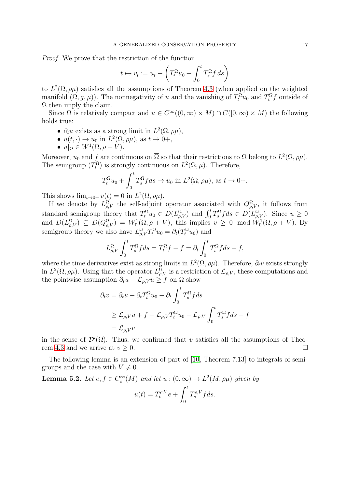Proof. We prove that the restriction of the function

$$
t \mapsto v_t := u_t - \left( T_t^{\Omega} u_0 + \int_0^t T_s^{\Omega} f \, ds \right)
$$

to  $L^2(\Omega, \rho\mu)$  satisfies all the assumptions of Theorem [4.3](#page-13-1) (when applied on the weighted manifold  $(\Omega, g, \mu)$ ). The nonnegativity of u and the vanishing of  $T_t^{\Omega} u_0$  and  $T_t^{\Omega} f$  outside of  $\Omega$  then imply the claim.

Since  $\Omega$  is relatively compact and  $u \in C^{\infty}((0,\infty) \times M) \cap C([0,\infty) \times M)$  the following holds true:

- $\partial_t u$  exists as a strong limit in  $L^2(\Omega, \rho\mu)$ ,
- $u(t, \cdot) \to u_0$  in  $L^2(\Omega, \rho\mu)$ , as  $t \to 0+,$
- $u|_{\Omega} \in W^1(\Omega, \rho + V).$

Moreover,  $u_0$  and f are continuous on  $\overline{\Omega}$  so that their restrictions to  $\Omega$  belong to  $L^2(\Omega, \rho\mu)$ . The semigroup  $(T_t^{\Omega})$  is strongly continuous on  $L^2(\Omega, \mu)$ . Therefore,

$$
T_t^{\Omega}u_0 + \int_0^t T_s^{\Omega} f ds \to u_0 \text{ in } L^2(\Omega, \rho \mu), \text{ as } t \to 0+.
$$

This shows  $\lim_{t\to 0+} v(t) = 0$  in  $L^2(\Omega, \rho\mu)$ .

If we denote by  $L^{\Omega}_{\rho,V}$  the self-adjoint operator associated with  $Q^{\Omega}_{\rho,V}$ , it follows from standard semigroup theory that  $T_t^{\Omega} u_0 \in D(L_{\rho,V}^{\Omega})$  and  $\int_0^t T_s^{\Omega} f ds \in D(L_{\rho,V}^{\Omega})$ . Since  $u \geq 0$ and  $D(L^{\Omega}_{\rho,V}) \subseteq D(Q^{\Omega}_{\rho,V}) = W_0^1(\Omega, \rho + V)$ , this implies  $v \geq 0 \mod W_0^1(\Omega, \rho + V)$ . By semigroup theory we also have  $L^{\Omega}_{\rho,V}T^{\Omega}_t u_0 = \partial_t(T^{\Omega}_t u_0)$  and

$$
L^{\Omega}_{\rho,V} \int_0^t T^{\Omega}_s f ds = T^{\Omega}_t f - f = \partial_t \int_0^t T^{\Omega}_s f ds - f,
$$

where the time derivatives exist as strong limits in  $L^2(\Omega, \rho\mu)$ . Therefore,  $\partial_t v$  exists strongly in  $L^2(\Omega, \rho\mu)$ . Using that the operator  $L^{\Omega}_{\rho,V}$  is a restriction of  $\mathcal{L}_{\rho,V}$ , these computations and the pointwise assumption  $\partial_t u - \mathcal{L}_{\rho,V} u \geq f$  on  $\Omega$  show

$$
\partial_t v = \partial_t u - \partial_t T_t^{\Omega} u_0 - \partial_t \int_0^t T_s^{\Omega} f ds
$$
  
\n
$$
\geq \mathcal{L}_{\rho,V} u + f - \mathcal{L}_{\rho,V} T_t^{\Omega} u_0 - \mathcal{L}_{\rho,V} \int_0^t T_s^{\Omega} f ds - f
$$
  
\n
$$
= \mathcal{L}_{\rho,V} v
$$

in the sense of  $\mathcal{D}'(\Omega)$ . Thus, we confirmed that v satisfies all the assumptions of Theo-rem [4.3](#page-13-1) and we arrive at  $v \ge 0$ .

The following lemma is an extension of part of [\[10,](#page-32-7) Theorem 7.13] to integrals of semigroups and the case with  $V \neq 0$ .

<span id="page-16-0"></span>**Lemma 5.2.** Let  $e, f \in C_c^{\infty}(M)$  and let  $u : (0, \infty) \to L^2(M, \rho\mu)$  given by

$$
u(t) = T_t^{\rho,V} e + \int_0^t T_s^{\rho,V} f ds.
$$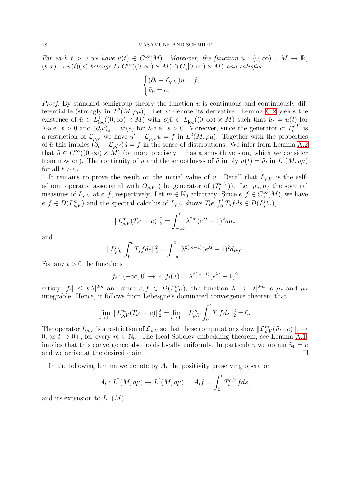For each  $t > 0$  we have  $u(t) \in C^{\infty}(M)$ . Moreover, the function  $\tilde{u} : (0, \infty) \times M \to \mathbb{R}$ ,  $(t, x) \mapsto u(t)(x)$  belongs to  $C^{\infty}((0, \infty) \times M) \cap C([0, \infty) \times M)$  and satisfies

$$
\begin{cases} (\partial_t - \mathcal{L}_{\rho,V})\tilde{u} = f, \\ \tilde{u}_0 = e. \end{cases}
$$

*Proof.* By standard semigroup theory the function  $u$  is continuous and continuously differentiable (strongly in  $L^2(M, \rho\mu)$ ). Let u' denote its derivative. Lemma [C.2](#page-31-0) yields the existence of  $\tilde{u} \in L^1_{loc}((0,\infty) \times M)$  with  $\partial_t \tilde{u} \in L^1_{loc}((0,\infty) \times M)$  such that  $\tilde{u}_t = u(t)$  for λ-a.e.  $t > 0$  and  $(\partial_t \tilde{u})_s = u'(s)$  for  $\lambda$ -a.e.  $s > 0$ . Moreover, since the generator of  $T_t^{\rho, V}$  $t^{\rho,\nu}$  is a restriction of  $\mathcal{L}_{\rho,V}$  we have  $u' - \mathcal{L}_{\rho,V}u = f$  in  $L^2(M, \rho\mu)$ . Together with the properties of  $\tilde{u}$  this implies  $(\partial_t - \mathcal{L}_{\rho,V})\tilde{u} = f$  in the sense of distributions. We infer from Lemma [A.2](#page-29-0) that  $\tilde{u} \in C^{\infty}((0,\infty) \times M)$  (or more precisely it has a smooth version, which we consider from now on). The continuity of u and the smoothness of  $\tilde{u}$  imply  $u(t) = \tilde{u}_t$  in  $L^2(M, \rho\mu)$ for all  $t > 0$ .

It remains to prove the result on the initial value of  $\tilde{u}$ . Recall that  $L_{\rho,V}$  is the selfadjoint operator associated with  $Q_{\rho,V}$  (the generator of  $(T_t^{\rho,V})$  $(t_t^{\rho,\nu})$ ). Let  $\mu_e, \mu_f$  the spectral measures of  $L_{\rho,V}$  at  $e, f$ , respectively. Let  $m \in \mathbb{N}_0$  arbitrary. Since  $e, f \in C_c^{\infty}(M)$ , we have  $e, f \in D(L_{\rho,V}^m)$  and the spectral calculus of  $L_{\rho,V}$  shows  $T_t e, \int_0^t T_s f ds \in D(L_{\rho,V}^m)$ ,

$$
||L_{\rho,V}^m(T_t e - e)||_2^2 = \int_{-\infty}^0 \lambda^{2m} (e^{\lambda t} - 1)^2 d\mu_e
$$

and

$$
||L_{\rho,V}^m \int_0^t T_s f ds||_2^2 = \int_{-\infty}^0 \lambda^{2(m-1)} (e^{\lambda t} - 1)^2 d\mu_f.
$$

For any  $t > 0$  the functions

$$
f_t: (-\infty, 0] \to \mathbb{R}, f_t(\lambda) = \lambda^{2(m-1)} (e^{\lambda t} - 1)^2
$$

satisfy  $|f_t| \leq t |\lambda|^{2m}$  and since  $e, f \in D(L_{\rho,V}^m)$ , the function  $\lambda \mapsto |\lambda|^{2m}$  is  $\mu_e$  and  $\mu_f$ integrable. Hence, it follows from Lebesgue's dominated convergence theorem that

$$
\lim_{t \to 0+} \|L_{\rho,V}^m(T_t e - e)\|_2^2 = \lim_{t \to 0+} \|L_{\rho,V}^m \int_0^t T_s f ds\|_2^2 = 0.
$$

The operator  $L_{\rho,V}$  is a restriction of  $\mathcal{L}_{\rho,V}$  so that these computations show  $\|\mathcal{L}_{\rho,V}^m(\tilde{u}_t-e)\|_2 \to$ 0, as  $t \to 0^+$ , for every  $m \in \mathbb{N}_0$ . The local Sobolev embedding theorem, see Lemma [A.1,](#page-29-1) implies that this convergence also holds locally uniformly. In particular, we obtain  $\tilde{u}_0 = e$ and we arrive at the desired claim.

In the following lemma we denote by  $A_t$  the positivity preserving operator

$$
A_t: L^2(M, \rho\mu) \to L^2(M, \rho\mu), \quad A_t f = \int_0^t T_s^{\rho, V} f ds,
$$

and its extension to  $L^+(M)$ .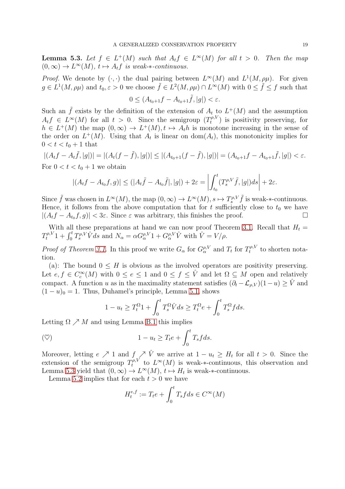<span id="page-18-0"></span>**Lemma 5.3.** Let  $f \in L^+(M)$  such that  $A_t f \in L^{\infty}(M)$  for all  $t > 0$ . Then the map  $(0, \infty) \to L^{\infty}(M)$ ,  $t \mapsto A_t f$  is weak- $*$ -continuous.

*Proof.* We denote by  $(\cdot, \cdot)$  the dual pairing between  $L^{\infty}(M)$  and  $L^{1}(M, \rho\mu)$ . For given  $g \in L^1(M, \rho\mu)$  and  $t_0, \varepsilon > 0$  we choose  $\tilde{f} \in L^2(M, \rho\mu) \cap L^\infty(M)$  with  $0 \le \tilde{f} \le f$  such that

$$
0 \le (A_{t_0+1}f - A_{t_0+1}\tilde{f}, |g|) < \varepsilon.
$$

Such an  $\tilde{f}$  exists by the definition of the extension of  $A_t$  to  $L^+(M)$  and the assumption  $A_t f \in L^{\infty}(M)$  for all  $t > 0$ . Since the semigroup  $(T_t^{\rho, V})$  $(t_t^{\rho,\nu})$  is positivity preserving, for  $h \in L^+(M)$  the map  $(0, \infty) \to L^+(M), t \mapsto A_t h$  is monotone increasing in the sense of the order on  $L^+(M)$ . Using that  $A_t$  is linear on  $dom(A_t)$ , this monotonicity implies for  $0 < t < t_0 + 1$  that

$$
|(A_t f - A_t \tilde{f}, |g|)| = |(A_t (f - \tilde{f}), |g|)| \le |(A_{t_0+1} (f - \tilde{f}), |g|)| = (A_{t_0+1} f - A_{t_0+1} \tilde{f}, |g|) < \varepsilon.
$$
  
For  $0 < t < t_0 + 1$  we obtain

$$
|(A_t f - A_{t_0} f, g)| \le (|A_t \tilde{f} - A_{t_0} \tilde{f}|, |g|) + 2\varepsilon = \left| \int_{t_0}^t (T_s^{\rho, V} \tilde{f}, |g|) ds \right| + 2\varepsilon.
$$

Since  $\tilde{f}$  was chosen in  $L^{\infty}(M)$ , the map  $(0, \infty) \to L^{\infty}(M)$ ,  $s \mapsto T_s^{\rho, V} \tilde{f}$  is weak-\*-continuous. Hence, it follows from the above computation that for t sufficiently close to  $t_0$  we have  $|(A_t f - A_{t_0} f, g)| < 3\varepsilon$ . Since  $\varepsilon$  was arbitrary, this finishes the proof.

With all these preparations at hand we can now proof Theorem 3.1. Recall that  $H_t =$  $T_t^{\rho,V}1 + \int_0^t T_s^{\rho,V} \hat{V} ds$  and  $N_\alpha = \alpha G_\alpha^{\rho,V}1 + G_\alpha^{\rho,V} \hat{V}$  with  $\hat{V} = V/\rho$ .

*Proof of Theorem 3.1.* In this proof we write  $G_{\alpha}$  for  $G_{\alpha}^{\rho,V}$  and  $T_t$  for  $T_t^{\rho,V}$  $t^{p, V}$  to shorten notation.

(a): The bound  $0 \leq H$  is obvious as the involved operators are positivity preserving. Let  $e, f \in C_c^{\infty}(M)$  with  $0 \le e \le 1$  and  $0 \le f \le \hat{V}$  and let  $\Omega \subseteq M$  open and relatively compact. A function u as in the maximality statement satisfies  $(\partial_t - \mathcal{L}_{o,V})(1-u) \geq \hat{V}$  and  $(1 - u)_0 = 1$ . Thus, Duhamel's principle, Lemma [5.1,](#page-15-1) shows

$$
1 - u_t \ge T_t^{\Omega} 1 + \int_0^t T_s^{\Omega} \hat{V} ds \ge T_t^{\Omega} e + \int_0^t T_s^{\Omega} f ds.
$$

Letting  $\Omega \nearrow M$  and using Lemma [B.1](#page-29-2) this implies

<span id="page-18-1"></span>
$$
( \heartsuit ) \qquad \qquad 1 - u_t \ge T_t e + \int_0^t T_s f ds.
$$

Moreover, letting  $e \nearrow 1$  and  $f \nearrow \hat{V}$  we arrive at  $1 - u_t \geq H_t$  for all  $t > 0$ . Since the extension of the semigroup  $T_t^{\rho, V}$ <sup> $\varphi_t^{\rho, V}$ </sup> to  $L^{\infty}(M)$  is weak-\*-continuous, this observation and Lemma [5.3](#page-18-0) yield that  $(0, \infty) \to L^{\infty}(M)$ ,  $t \mapsto H_t$  is weak- $*$ -continuous.

Lemma [5.2](#page-16-0) implies that for each  $t > 0$  we have

$$
H_t^{e,f} := T_t e + \int_0^t T_s f ds \in C^\infty(M)
$$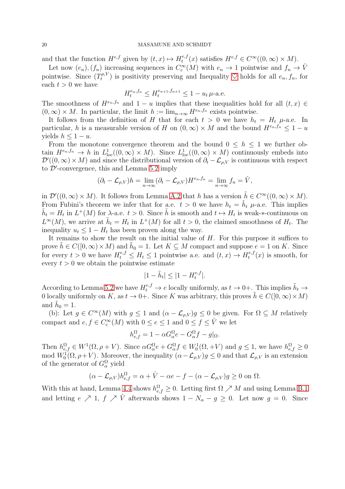and that the function  $H^{e,f}$  given by  $(t, x) \mapsto H_t^{e,f}$  $t^{e,f}(x)$  satisfies  $H^{e,f} \in C^{\infty}((0,\infty) \times M)$ .

Let now  $(e_n)$ ,  $(f_n)$  increasing sequences in  $C_c^{\infty}(M)$  with  $e_n \to 1$  pointwise and  $f_n \to \hat{V}$ pointwise. Since  $(T_t^{\rho,V})$  $t^{p,\nu}$ ) is positivity preserving and Inequality  $\heartsuit$  holds for all  $e_n, f_n$ , for each  $t > 0$  we have

$$
H_t^{e_n, f_n} \le H_t^{e_{n+1}, f_{n+1}} \le 1 - u_t \,\mu\text{-a.e.}
$$

The smoothness of  $H^{e_n,f_n}$  and  $1-u$  implies that these inequalities hold for all  $(t, x) \in$  $(0, \infty) \times M$ . In particular, the limit  $h := \lim_{n \to \infty} H^{e_n, f_n}$  exists pointwise.

It follows from the definition of H that for each  $t > 0$  we have  $h_t = H_t$   $\mu$ -a.e. In particular, h is a measurable version of H on  $(0, \infty) \times M$  and the bound  $H^{e_n, f_n} \leq 1 - u$ yields  $h \leq 1 - u$ .

From the monotone convergence theorem and the bound  $0 \leq h \leq 1$  we further obtain  $H^{e_n,f_n} \to h$  in  $L^1_{loc}((0,\infty) \times M)$ . Since  $L^1_{loc}((0,\infty) \times M)$  continuously embeds into  $\mathcal{D}'((0,\infty) \times M)$  and since the distributional version of  $\partial_t - \mathcal{L}_{\rho,V}$  is continuous with respect to  $\mathcal{D}'$ -convergence, this and Lemma [5.2](#page-16-0) imply

$$
(\partial_t - \mathcal{L}_{\rho,V})h = \lim_{n \to \infty} (\partial_t - \mathcal{L}_{\rho,V})H^{e_n,f_n} = \lim_{n \to \infty} f_n = \hat{V},
$$

in  $\mathcal{D}'((0,\infty)\times M)$ . It follows from Lemma [A.2](#page-29-0) that h has a version  $\tilde{h}\in C^{\infty}((0,\infty)\times M)$ . From Fubini's theorem we infer that for a.e.  $t > 0$  we have  $h_t = \tilde{h}_t$   $\mu$ -a.e. This implies  $\tilde{h}_t = H_t$  in  $L^+(M)$  for  $\lambda$ -a.e.  $t > 0$ . Since  $\tilde{h}$  is smooth and  $t \mapsto H_t$  is weak-\*-continuous on  $L^{\infty}(M)$ , we arrive at  $\tilde{h}_t = H_t$  in  $L^+(M)$  for all  $t > 0$ , the claimed smoothness of  $H_t$ . The inequality  $u_t \leq 1 - H_t$  has been proven along the way.

It remains to show the result on the initial value of  $H$ . For this purpose it suffices to prove  $\tilde{h} \in C([0,\infty) \times M)$  and  $\tilde{h}_0 = 1$ . Let  $K \subseteq M$  compact and suppose  $e = 1$  on K. Since for every  $t > 0$  we have  $H_t^{e,f} \leq H_t \leq 1$  pointwise a.e. and  $(t, x) \rightarrow H_t^{e,f}$  $t^{e,f}(x)$  is smooth, for every  $t > 0$  we obtain the pointwise estimate

$$
|1-\tilde{h}_t| \le |1-H_t^{e,f}|.
$$

According to Lemma [5.2](#page-16-0) we have  $H_t^{e,f} \to e$  locally uniformly, as  $t \to 0^+$ . This implies  $\tilde{h}_t \to$ 0 locally uniformly on K, as  $t \to 0+$ . Since K was arbitrary, this proves  $\tilde{h} \in C([0,\infty) \times M)$ and  $\tilde{h}_0 = 1$ .

(b): Let  $g \in C^{\infty}(M)$  with  $g \leq 1$  and  $(\alpha - \mathcal{L}_{\rho,V})g \leq 0$  be given. For  $\Omega \subseteq M$  relatively compact and  $e, f \in C_c^{\infty}(M)$  with  $0 \le e \le 1$  and  $0 \le f \le \hat{V}$  we let

$$
h_{e,f}^{\Omega} = 1 - \alpha G_{\alpha}^{\Omega} e - G_{\alpha}^{\Omega} f - g|_{\Omega}.
$$

Then  $h_{e,f}^{\Omega} \in W^1(\Omega,\rho+V)$ . Since  $\alpha G_{\alpha}^{\Omega} e + G_{\alpha}^{\Omega} f \in W_0^1(\Omega,+V)$  and  $g \leq 1$ , we have  $h_{e,f}^{\Omega} \geq 0$ mod  $W_0^1(\Omega, \rho+V)$ . Moreover, the inequality  $(\alpha-\mathcal{L}_{\rho,V})g\leq 0$  and that  $\mathcal{L}_{\rho,V}$  is an extension of the generator of  $G^{\Omega}_{\alpha}$  yield

$$
(\alpha - \mathcal{L}_{\rho,V})h_{e,f}^{\Omega} = \alpha + \hat{V} - \alpha e - f - (\alpha - \mathcal{L}_{\rho,V})g \ge 0 \text{ on } \Omega.
$$

With this at hand, Lemma [4.4](#page-15-2) shows  $h_{e,f}^{\Omega} \geq 0$ . Letting first  $\Omega \nearrow M$  and using Lemma [B.1](#page-29-2) and letting  $e \nearrow 1$ ,  $f \nearrow \hat{V}$  afterwards shows  $1 - N_{\alpha} - g \geq 0$ . Let now  $g = 0$ . Since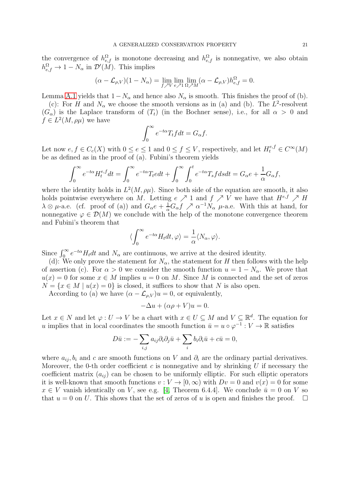the convergence of  $h_{e,f}^{\Omega}$  is monotone decreasing and  $h_{e,f}^{\Omega}$  is nonnegative, we also obtain  $h_{e,f}^{\Omega} \to 1 - N_{\alpha}$  in  $\mathcal{D}'(M)$ . This implies

$$
(\alpha - \mathcal{L}_{\rho,V})(1 - N_{\alpha}) = \lim_{f \nearrow V} \lim_{e \nearrow 1} \lim_{\Omega \nearrow M} (\alpha - \mathcal{L}_{\rho,V}) h_{e,f}^{\Omega} = 0.
$$

Lemma [A.1](#page-29-1) yields that  $1-N_\alpha$  and hence also  $N_\alpha$  is smooth. This finishes the proof of (b).

(c): For H and  $N_{\alpha}$  we choose the smooth versions as in (a) and (b). The  $L^2$ -resolvent  $(G_{\alpha})$  is the Laplace transform of  $(T_t)$  (in the Bochner sense), i.e., for all  $\alpha > 0$  and  $f \in L^2(M,\rho\mu)$  we have

$$
\int_0^\infty e^{-t\alpha} T_t f dt = G_\alpha f.
$$

Let now  $e, f \in C_c(X)$  with  $0 \le e \le 1$  and  $0 \le f \le V$ , respectively, and let  $H_t^{e,f} \in C^{\infty}(M)$ be as defined as in the proof of (a). Fubini's theorem yields

$$
\int_0^\infty e^{-t\alpha} H_t^{e,f} dt = \int_0^\infty e^{-t\alpha} T_t e dt + \int_0^\infty \int_0^t e^{-t\alpha} T_s f ds dt = G_\alpha e + \frac{1}{\alpha} G_\alpha f,
$$

where the identity holds in  $L^2(M, \rho\mu)$ . Since both side of the equation are smooth, it also holds pointwise everywhere on M. Letting  $e \nearrow 1$  and  $f \nearrow V$  we have that  $H^{e,f} \nearrow H$  $\lambda \otimes \mu$ -a.e. (cf. proof of (a)) and  $G_{\alpha}e + \frac{1}{\alpha}G_{\alpha}f \nearrow \alpha^{-1}N_{\alpha} \mu$ -a.e. With this at hand, for nonnegative  $\varphi \in \mathcal{D}(M)$  we conclude with the help of the monotone convergence theorem and Fubini's theorem that

$$
\langle \int_0^\infty e^{-t\alpha} H_t dt, \varphi \rangle = \frac{1}{\alpha} \langle N_\alpha, \varphi \rangle.
$$

Since  $\int_0^\infty e^{-t\alpha} H_t dt$  and  $N_\alpha$  are continuous, we arrive at the desired identity.

(d): We only prove the statement for  $N_{\alpha}$ , the statement for H then follows with the help of assertion (c). For  $\alpha > 0$  we consider the smooth function  $u = 1 - N_{\alpha}$ . We prove that  $u(x) = 0$  for some  $x \in M$  implies  $u = 0$  on M. Since M is connected and the set of zeros  $N = \{x \in M \mid u(x) = 0\}$  is closed, it suffices to show that N is also open.

According to (a) we have  $(\alpha - \mathcal{L}_{\rho,V})u = 0$ , or equivalently,

$$
-\Delta u + (\alpha \rho + V)u = 0.
$$

Let  $x \in N$  and let  $\varphi: U \to V$  be a chart with  $x \in U \subseteq M$  and  $V \subseteq \mathbb{R}^d$ . The equation for u implies that in local coordinates the smooth function  $\bar{u} = u \circ \varphi^{-1} : V \to \mathbb{R}$  satisfies

$$
D\bar{u} := -\sum_{i,j} a_{ij} \partial_i \partial_j \bar{u} + \sum_i b_i \partial_i \bar{u} + c\bar{u} = 0,
$$

where  $a_{ij}$ ,  $b_i$  and c are smooth functions on V and  $\partial_i$  are the ordinary partial derivatives. Moreover, the 0-th order coefficient c is nonnegative and by shrinking U if necessary the coefficient matrix  $(a_{ij})$  can be chosen to be uniformly elliptic. For such elliptic operators it is well-known that smooth functions  $v : V \to [0, \infty)$  with  $Dv = 0$  and  $v(x) = 0$  for some  $x \in V$  vanish identically on V, see e.g. [\[4,](#page-32-8) Theorem 6.4.4]. We conclude  $\bar{u} = 0$  on V so that  $u = 0$  on U. This shows that the set of zeros of u is open and finishes the proof.  $\Box$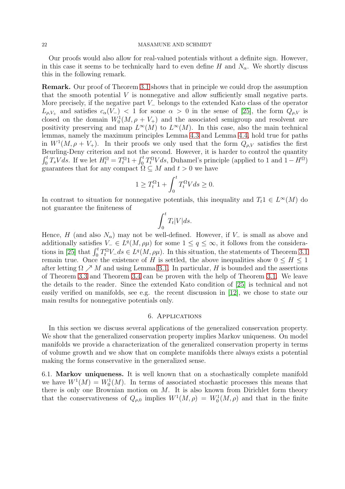Our proofs would also allow for real-valued potentials without a definite sign. However, in this case it seems to be technically hard to even define H and  $N_{\alpha}$ . We shortly discuss this in the following remark.

Remark. Our proof of Theorem 3.1 shows that in principle we could drop the assumption that the smooth potential  $V$  is nonnegative and allow sufficiently small negative parts. More precisely, if the negative part  $V_-\$  belongs to the extended Kato class of the operator  $L_{\rho,V_+}$  and satisfies  $c_{\alpha}(V_-) < 1$  for some  $\alpha > 0$  in the sense of [\[25\]](#page-33-15), the form  $Q_{\rho,V}$  is closed on the domain  $W_0^1(M, \rho + V_+)$  and the associated semigroup and resolvent are positivity preserving and map  $L^{\infty}(M)$  to  $L^{\infty}(M)$ . In this case, also the main technical lemmas, namely the maximum principles Lemma [4.3](#page-13-1) and Lemma [4.4,](#page-15-2) hold true for paths in  $W^1(M, \rho + V_+)$ . In their proofs we only used that the form  $Q_{\rho,V}$  satisfies the first Beurling-Deny criterion and not the second. However, it is harder to control the quantity  $\int_0^t T_s V ds$ . If we let  $H_t^{\Omega} = T_t^{\Omega} 1 + \int_0^t T_t^{\Omega} V ds$ , Duhamel's principle (applied to 1 and  $1 - H^{\Omega}$ ) guarantees that for any compact  $\Omega \subseteq M$  and  $t > 0$  we have

$$
1 \ge T_t^{\Omega} 1 + \int_0^t T_t^{\Omega} V ds \ge 0.
$$

In contrast to situation for nonnegative potentials, this inequality and  $T_t 1 \in L^{\infty}(M)$  do not guarantee the finiteness of

$$
\int_0^t T_t|V|ds.
$$

Hence, H (and also  $N_{\alpha}$ ) may not be well-defined. However, if  $V_{-}$  is small as above and additionally satisfies  $V_-\in L^q(M,\rho\mu)$  for some  $1\leq q\leq\infty$ , it follows from the considera-tions in [\[25\]](#page-33-15) that  $\int_0^t T_t^{\Omega} V_- ds \in L^q(M, \rho\mu)$ . In this situation, the statements of Theorem 3.1 remain true. Once the existence of H is settled, the above inequalities show  $0 \leq H \leq 1$ after letting  $\Omega \nearrow M$  and using Lemma [B.1.](#page-29-2) In particular, H is bounded and the assertions of Theorem [3.3](#page-9-0) and Theorem [3.4](#page-10-0) can be proven with the help of Theorem 3.1. We leave the details to the reader. Since the extended Kato condition of [\[25\]](#page-33-15) is technical and not easily verified on manifolds, see e.g. the recent discussion in [\[12\]](#page-33-16), we chose to state our main results for nonnegative potentials only.

## 6. Applications

In this section we discuss several applications of the generalized conservation property. We show that the generalized conservation property implies Markov uniqueness. On model manifolds we provide a characterization of the generalized conservation property in terms of volume growth and we show that on complete manifolds there always exists a potential making the forms conservative in the generalized sense.

6.1. Markov uniqueness. It is well known that on a stochastically complete manifold we have  $W^1(M) = W_0^1(M)$ . In terms of associated stochastic processes this means that there is only one Brownian motion on  $M$ . It is also known from Dirichlet form theory that the conservativeness of  $Q_{\rho,0}$  implies  $W^1(M,\rho) = W_0^1(M,\rho)$  and that in the finite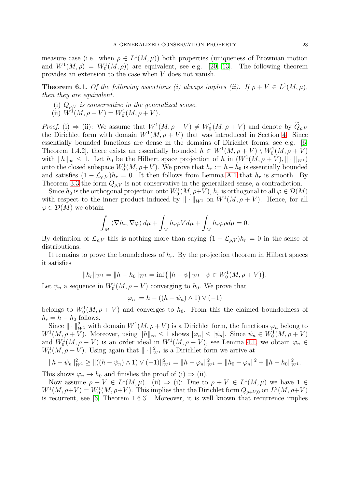measure case (i.e. when  $\rho \in L^1(M,\mu)$ ) both properties (uniqueness of Brownian motion and  $W^1(M,\rho) = W_0^1(M,\rho)$  are equivalent, see e.g. [\[20,](#page-33-9) [13\]](#page-33-8). The following theorem provides an extension to the case when V does not vanish.

<span id="page-22-0"></span>**Theorem 6.1.** Of the following assertions (i) always implies (ii). If  $\rho + V \in L^1(M, \mu)$ , then they are equivalent.

- (i)  $Q_{\rho,V}$  is conservative in the generalized sense.
- (ii)  $W^1(M, \rho + V) = W_0^1(M, \rho + V).$

*Proof.* (i)  $\Rightarrow$  (ii): We assume that  $W^1(M, \rho + V) \neq W_0^1(M, \rho + V)$  and denote by  $Q_{\rho, V}$ the Dirichlet form with domain  $W^1(M, \rho + V)$  that was introduced in Section [4.](#page-11-0) Since essentially bounded functions are dense in the domains of Dirichlet forms, see e.g. [\[6,](#page-32-0) Theorem 1.4.2, there exists an essentially bounded  $h \in W^1(M, \rho + V) \setminus W_0^1(M, \rho + V)$ with  $||h||_{\infty} \leq 1$ . Let  $h_0$  be the Hilbert space projection of h in  $(W^1(M, \rho + V), || \cdot ||_{W^1})$ onto the closed subspace  $W_0^1(M, \rho + V)$ . We prove that  $h_r := h - h_0$  is essentially bounded and satisfies  $(1 - \mathcal{L}_{\rho,V})h_r = 0$ . It then follows from Lemma [A.1](#page-29-1) that  $h_r$  is smooth. By Theorem [3.3](#page-9-0) the form  $Q_{\rho,V}$  is not conservative in the generalized sense, a contradiction.

Since  $h_0$  is the orthogonal projection onto  $W_0^1(M, \rho+V)$ ,  $h_r$  is orthogonal to all  $\varphi \in \mathcal{D}(M)$ with respect to the inner product induced by  $\|\cdot\|_{W^1}$  on  $W^1(M, \rho + V)$ . Hence, for all  $\varphi \in \mathcal{D}(M)$  we obtain

$$
\int_M \langle \nabla h_r, \nabla \varphi \rangle d\mu + \int_M h_r \varphi V d\mu + \int_M h_r \varphi \rho d\mu = 0.
$$

By definition of  $\mathcal{L}_{\rho,V}$  this is nothing more than saying  $(1 - \mathcal{L}_{\rho,V})h_r = 0$  in the sense of distributions.

It remains to prove the boundedness of  $h_r$ . By the projection theorem in Hilbert spaces it satisfies

$$
||h_r||_{W^1} = ||h - h_0||_{W^1} = \inf \{ ||h - \psi||_{W^1} \mid \psi \in W_0^1(M, \rho + V) \}.
$$

Let  $\psi_n$  a sequence in  $W_0^1(M, \rho + V)$  converging to  $h_0$ . We prove that

$$
\varphi_n := h - ((h - \psi_n) \wedge 1) \vee (-1)
$$

belongs to  $W_0^1(M, \rho + V)$  and converges to  $h_0$ . From this the claimed boundedness of  $h_r = h - h_0$  follows.

Since  $\|\cdot\|_{W^1}^2$  with domain  $W^1(M, \rho + V)$  is a Dirichlet form, the functions  $\varphi_n$  belong to  $W^1(M, \rho + V)$ . Moreover, using  $||h||_{\infty} \leq 1$  shows  $|\varphi_n| \leq |\psi_n|$ . Since  $\psi_n \in W_0^1(M, \rho + V)$ and  $W_0^1(M, \rho + V)$  is an order ideal in  $W^1(M, \rho + V)$ , see Lemma [4.1,](#page-12-0) we obtain  $\varphi_n \in$  $W_0^1(M, \rho + V)$ . Using again that  $\|\cdot\|_{W^1}^2$  is a Dirichlet form we arrive at

$$
||h - \psi_n||_{W^1}^2 \ge ||((h - \psi_n) \wedge 1) \vee (-1)||_{W^1}^2 = ||h - \varphi_n||_{W^1}^2 = ||h_0 - \varphi_n||^2 + ||h - h_0||_{W^1}^2.
$$

This shows  $\varphi_n \to h_0$  and finishes the proof of (i)  $\Rightarrow$  (ii).

Now assume  $\rho + V \in L^1(M, \mu)$ . (ii)  $\Rightarrow$  (i): Due to  $\rho + V \in L^1(M, \mu)$  we have  $1 \in$  $W^1(M,\rho+V) = W_0^1(M,\rho+V)$ . This implies that the Dirichlet form  $Q_{\rho+V,0}$  on  $L^2(M,\rho+V)$ is recurrent, see [\[6,](#page-32-0) Theorem 1.6.3]. Moreover, it is well known that recurrence implies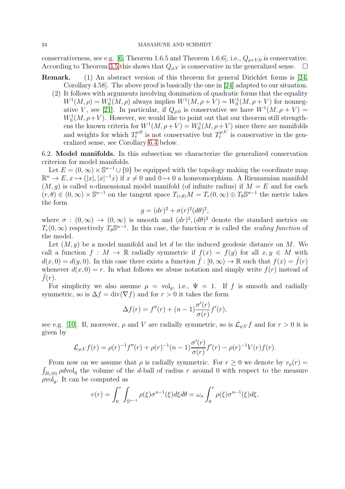conservativeness, see e.g. [\[6,](#page-32-0) Theorem 1.6.5 and Theorem 1.6.6], i.e.,  $Q_{\rho+V,0}$  is conservative. According to Theorem 3.5 this shows that  $Q_{\rho,V}$  is conservative in the generalized sense.  $\Box$ 

- Remark. (1) An abstract version of this theorem for general Dirichlet forms is [\[24,](#page-33-10) Corollary 4.58]. The above proof is basically the one in [\[24\]](#page-33-10) adapted to our situation.
	- (2) It follows with arguments involving domination of quadratic forms that the equality  $W^1(M,\rho) = W_0^1(M,\rho)$  always implies  $W^1(M,\rho+V) = W_0^1(M,\rho+V)$  for nonneg-ative V, see [\[21\]](#page-33-17). In particular, if  $Q_{\rho,0}$  is conservative we have  $W^1(M, \rho + V) =$  $W_0^1(M, \rho+V)$ . However, we would like to point out that our theorem still strengthens the known criteria for  $W^1(M, \rho + V) = W_0^1(M, \rho + V)$  since there are manifolds and weights for which  $T_t^{\rho,0}$  $T_t^{\rho,0}$  is not conservative but  $T_t^{\rho,V}$  $t_t^{\rho,\nu}$  is conservative in the generalized sense, see Corollary [6.4](#page-26-1) below.

<span id="page-23-0"></span>6.2. Model manifolds. In this subsection we characterize the generalized conservation criterion for model manifolds.

Let  $E = (0, \infty) \times \mathbb{S}^{n-1} \cup \{0\}$  be equipped with the topology making the coordinate map  $\mathbb{R}^n \to E$ ,  $x \mapsto (|x|, |x|^{-1}x)$  if  $x \neq 0$  and  $0 \mapsto 0$  a homeomorphism. A Riemannian manifold  $(M, g)$  is called *n*-dimensional model manifold (of infinite radius) if  $M = E$  and for each  $(r, \theta) \in (0, \infty) \times \mathbb{S}^{n-1}$  on the tangent space  $T_{(r,\theta)}M = T_r(0, \infty) \oplus T_{\theta} \mathbb{S}^{n-1}$  the metric takes the form

$$
g = (dr)^2 + \sigma(r)^2 (d\theta)^2,
$$

where  $\sigma : (0, \infty) \to (0, \infty)$  is smooth and  $(dr)^2$ ,  $(d\theta)^2$  denote the standard metrics on  $T_r(0,\infty)$  respectively  $T_{\theta} \mathbb{S}^{n-1}$ . In this case, the function  $\sigma$  is called the scaling function of the model.

Let  $(M, q)$  be a model manifold and let d be the induced geodesic distance on M. We call a function  $f : M \to \mathbb{R}$  radially symmetric if  $f(x) = f(y)$  for all  $x, y \in M$  with  $d(x, 0) = d(y, 0)$ . In this case there exists a function  $\hat{f}: [0, \infty) \to \mathbb{R}$  such that  $f(x) = \hat{f}(r)$ whenever  $d(x, 0) = r$ . In what follows we abuse notation and simply write  $f(r)$  instead of  $\tilde{f}(r)$ .

For simplicity we also assume  $\mu = \text{vol}_q$ , i.e.,  $\Psi = 1$ . If f is smooth and radially symmetric, so is  $\Delta f = \text{div}(\nabla f)$  and for  $r > 0$  it takes the form

$$
\Delta f(r) = f''(r) + (n-1)\frac{\sigma'(r)}{\sigma(r)}f'(r),
$$

see e.g. [\[10\]](#page-32-7). If, moreover,  $\rho$  and V are radially symmetric, so is  $\mathcal{L}_{\rho,V}f$  and for  $r > 0$  it is given by

$$
\mathcal{L}_{\rho,V}f(r) = \rho(r)^{-1}f''(r) + \rho(r)^{-1}(n-1)\frac{\sigma'(r)}{\sigma(r)}f'(r) - \rho(r)^{-1}V(r)f(r).
$$

 $\int_{B_r(0)} \rho d\text{vol}_g$  the volume of the d-ball of radius r around 0 with respect to the measure From now on we assume that  $\rho$  is radially symmetric. For  $r \geq 0$  we denote by  $v_{\rho}(r) =$  $\rho$ vol<sub>g</sub>. It can be computed as

$$
v(r) = \int_0^r \int_{\mathbb{S}^{n-1}} \rho(\xi) \sigma^{n-1}(\xi) d\xi d\theta = \omega_n \int_0^r \rho(\xi) \sigma^{n-1}(\xi) d\xi,
$$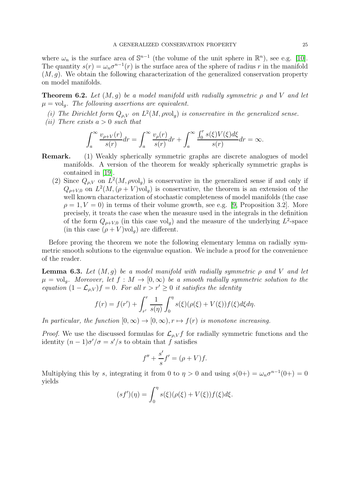where  $\omega_n$  is the surface area of  $\mathbb{S}^{n-1}$  (the volume of the unit sphere in  $\mathbb{R}^n$ ), see e.g. [\[10\]](#page-32-7). The quantity  $s(r) = \omega_n \sigma^{n-1}(r)$  is the surface area of the sphere of radius r in the manifold  $(M, q)$ . We obtain the following characterization of the generalized conservation property on model manifolds.

<span id="page-24-0"></span>**Theorem 6.2.** Let  $(M, q)$  be a model manifold with radially symmetric  $\rho$  and V and let  $\mu = \text{vol}_q$ . The following assertions are equivalent.

- (i) The Dirichlet form  $Q_{\rho,V}$  on  $L^2(M, \rho vol_g)$  is conservative in the generalized sense.
- (*ii*) There exists  $a > 0$  such that

$$
\int_{a}^{\infty} \frac{v_{\rho+V}(r)}{s(r)} dr = \int_{a}^{\infty} \frac{v_{\rho}(r)}{s(r)} dr + \int_{a}^{\infty} \frac{\int_{0}^{r} s(\xi)V(\xi) d\xi}{s(r)} dr = \infty.
$$

- Remark. (1) Weakly spherically symmetric graphs are discrete analogues of model manifolds. A version of the theorem for weakly spherically symmetric graphs is contained in [\[19\]](#page-33-6).
	- (2) Since  $Q_{\rho,V}$  on  $L^2(M, \rho vol_g)$  is conservative in the generalized sense if and only if  $Q_{\rho+V,0}$  on  $L^2(M, (\rho+V) \text{vol}_g)$  is conservative, the theorem is an extension of the well known characterization of stochastic completeness of model manifolds (the case  $\rho = 1, V = 0$ ) in terms of their volume growth, see e.g. [\[9,](#page-32-5) Proposition 3.2]. More precisely, it treats the case when the measure used in the integrals in the definition of the form  $Q_{\rho+V,0}$  (in this case vol<sub>g</sub>) and the measure of the underlying  $L^2$ -space (in this case  $(\rho + V)$ vol<sub>a</sub>) are different.

Before proving the theorem we note the following elementary lemma on radially symmetric smooth solutions to the eigenvalue equation. We include a proof for the convenience of the reader.

<span id="page-24-1"></span>**Lemma 6.3.** Let  $(M, q)$  be a model manifold with radially symmetric ρ and V and let  $\mu = \text{vol}_a$ . Moreover, let  $f : M \to [0, \infty)$  be a smooth radially symmetric solution to the equation  $(1 - \mathcal{L}_{\rho,V})f = 0$ . For all  $r > r' \geq 0$  it satisfies the identity

$$
f(r) = f(r') + \int_{r'}^{r} \frac{1}{s(\eta)} \int_{0}^{\eta} s(\xi)(\rho(\xi) + V(\xi))f(\xi)d\xi d\eta.
$$

In particular, the function  $[0, \infty) \to [0, \infty), r \mapsto f(r)$  is monotone increasing.

*Proof.* We use the discussed formulas for  $\mathcal{L}_{\rho,V}f$  for radially symmetric functions and the identity  $(n-1)\sigma'/\sigma = s'/s$  to obtain that f satisfies

$$
f'' + \frac{s'}{s}f' = (\rho + V)f.
$$

Multiplying this by s, integrating it from 0 to  $\eta > 0$  and using  $s(0+) = \omega_n \sigma^{n-1}(0+) = 0$ yields

$$
(sf')(\eta) = \int_0^{\eta} s(\xi)(\rho(\xi) + V(\xi))f(\xi)d\xi.
$$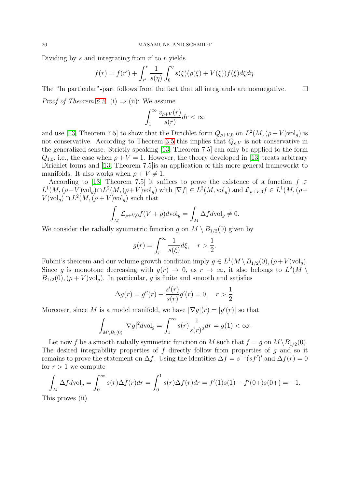Dividing by  $s$  and integrating from  $r'$  to  $r$  yields

$$
f(r) = f(r') + \int_{r'}^{r} \frac{1}{s(\eta)} \int_{0}^{\eta} s(\xi)(\rho(\xi) + V(\xi))f(\xi) d\xi d\eta.
$$

The "In particular"-part follows from the fact that all integrands are nonnegative.  $\Box$ 

*Proof of Theorem [6.2.](#page-24-0)* (i)  $\Rightarrow$  (ii): We assume

$$
\int_{1}^{\infty} \frac{v_{\rho+V}(r)}{s(r)} dr < \infty
$$

and use [\[13,](#page-33-8) Theorem 7.5] to show that the Dirichlet form  $Q_{\rho+V,0}$  on  $L^2(M, (\rho+V)\text{vol}_g)$  is not conservative. According to Theorem 3.5 this implies that  $Q_{\rho,V}$  is not conservative in the generalized sense. Strictly speaking [\[13,](#page-33-8) Theorem 7.5] can only be applied to the form  $Q_{1,0}$ , i.e., the case when  $\rho + V = 1$ . However, the theory developed in [\[13\]](#page-33-8) treats arbitrary Dirichlet forms and [\[13,](#page-33-8) Theorem 7.5] is an application of this more general frameworkt to manifolds. It also works when  $\rho + V \neq 1$ .

According to [\[13,](#page-33-8) Theorem 7.5] it suffices to prove the existence of a function  $f \in$  $L^1(M, (\rho+V) \text{vol}_g) \cap L^2(M, (\rho+V) \text{vol}_g)$  with  $|\nabla f| \in L^2(M, \text{vol}_g)$  and  $\mathcal{L}_{\rho+V,0} f \in L^1(M, (\rho+V) \text{vol}_g)$  $V$ )vol<sub>g</sub>) ∩  $L^2(M, (\rho + V)$ vol<sub>g</sub>) such that

$$
\int_M \mathcal{L}_{\rho+V,0} f(V+\rho) d\mathrm{vol}_g = \int_M \Delta f d\mathrm{vol}_g \neq 0.
$$

We consider the radially symmetric function g on  $M \setminus B_{1/2}(0)$  given by

$$
g(r) = \int_r^{\infty} \frac{1}{s(\xi)} d\xi, \quad r > \frac{1}{2}.
$$

Fubini's theorem and our volume growth condition imply  $g \in L^1(M \setminus B_{1/2}(0), (\rho + V) \text{vol}_g)$ . Since g is monotone decreasing with  $g(r) \to 0$ , as  $r \to \infty$ , it also belongs to  $L^2(M \setminus$  $B_{1/2}(0),(\rho+V)\text{vol}_q$ . In particular, g is finite and smooth and satisfies

$$
\Delta g(r) = g''(r) - \frac{s'(r)}{s(r)}g'(r) = 0, \quad r > \frac{1}{2}.
$$

Moreover, since M is a model manifold, we have  $|\nabla g|(r) = |g'(r)|$  so that

$$
\int_{M\setminus B_1(0)} |\nabla g|^2 d\mathrm{vol}_g = \int_1^\infty s(r) \frac{1}{s(r)^2} dr = g(1) < \infty.
$$

Let now f be a smooth radially symmetric function on M such that  $f = g$  on  $M \ B_{1/2}(0)$ . The desired integrability properties of  $f$  directly follow from properties of  $g$  and so it remains to prove the statement on  $\Delta f$ . Using the identities  $\Delta f = s^{-1}(s f')'$  and  $\Delta f(r) = 0$ for  $r > 1$  we compute

$$
\int_M \Delta f d\text{vol}_g = \int_0^\infty s(r) \Delta f(r) dr = \int_0^1 s(r) \Delta f(r) dr = f'(1)s(1) - f'(0+)s(0+) = -1.
$$

This proves (ii).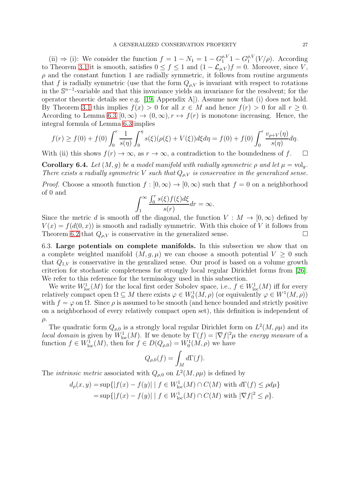(ii)  $\Rightarrow$  (i): We consider the function  $f = 1 - N_1 = 1 - G_1^{\rho, V}$  $_1^{\rho,V}{1-G_1^{\rho,V}}$  $l_1^{\rho,\nu}(V/\rho)$ . According to Theorem 3.1 it is smooth, satisfies  $0 \le f \le 1$  and  $(1 - \mathcal{L}_{\rho,V})f = 0$ . Moreover, since V,  $\rho$  and the constant function 1 are radially symmetric, it follows from routine arguments that f is radially symmetric (use that the form  $Q_{\rho,V}$  is invariant with respect to rotations in the  $\mathbb{S}^{n-1}$ -variable and that this invariance yields an invariance for the resolvent; for the operator theoretic details see e.g. [\[19,](#page-33-6) Appendix A]). Assume now that (i) does not hold. By Theorem 3.1 this implies  $f(x) > 0$  for all  $x \in M$  and hence  $f(r) > 0$  for all  $r \ge 0$ . According to Lemma [6.3](#page-24-1)  $[0, \infty) \to (0, \infty), r \mapsto f(r)$  is monotone increasing. Hence, the integral formula of Lemma [6.3](#page-24-1) implies

$$
f(r) \ge f(0) + f(0) \int_0^r \frac{1}{s(\eta)} \int_0^{\eta} s(\xi)(\rho(\xi) + V(\xi)) d\xi d\eta = f(0) + f(0) \int_0^r \frac{v_{\rho + V}(\eta)}{s(\eta)} d\eta.
$$

With (ii) this shows  $f(r) \to \infty$ , as  $r \to \infty$ , a contradiction to the boundedness of f.  $\square$ 

<span id="page-26-1"></span>**Corollary 6.4.** Let  $(M, g)$  be a model manifold with radially symmetric  $\rho$  and let  $\mu = \text{vol}_q$ . There exists a radially symmetric V such that  $Q_{\rho,V}$  is conservative in the generalized sense.

*Proof.* Choose a smooth function  $f : [0, \infty) \to [0, \infty)$  such that  $f = 0$  on a neighborhood of 0 and

$$
\int_1^\infty \frac{\int_0^r s(\xi) f(\xi) d\xi}{s(r)} dr = \infty.
$$

Since the metric d is smooth off the diagonal, the function  $V : M \to [0, \infty)$  defined by  $V(x) = f(d(0, x))$  is smooth and radially symmetric. With this choice of V it follows from Theorem [6.2](#page-24-0) that  $Q_{\rho,V}$  is conservative in the generalized sense.

<span id="page-26-0"></span>6.3. Large potentials on complete manifolds. In this subsection we show that on a complete weighted manifold  $(M, g, \mu)$  we can choose a smooth potential  $V \geq 0$  such that  $Q_{1,V}$  is conservative in the genralized sense. Our proof is based on a volume growth criterion for stochastic completeness for strongly local regular Dirichlet forms from [\[26\]](#page-33-3). We refer to this reference for the terminology used in this subsection.

We write  $W^1_{loc}(M)$  for the local first order Sobolev space, i.e.,  $f \in W^1_{loc}(M)$  iff for every relatively compact open  $\Omega \subseteq M$  there exists  $\varphi \in W_0^1(M, \rho)$  (or equivalently  $\varphi \in W^1(M, \rho)$ ) with  $f = \varphi$  on  $\Omega$ . Since  $\rho$  is assumed to be smooth (and hence bounded and strictly positive on a neighborhood of every relatively compact open set), this definition is independent of  $\rho$ .

The quadratic form  $Q_{\rho,0}$  is a strongly local regular Dirichlet form on  $L^2(M, \rho\mu)$  and its *local domain* is given by  $W_{loc}^1(M)$ . If we denote by  $\Gamma(f) = |\nabla f|^2 \mu$  the *energy measure* of a function  $f \in W^1_{loc}(M)$ , then for  $f \in D(Q_{\rho,0}) = W^1_0(M,\rho)$  we have

$$
Q_{\rho,0}(f) = \int_M d\Gamma(f).
$$

The *intrinsic metric* associated with  $Q_{\rho,0}$  on  $L^2(M, \rho\mu)$  is defined by

$$
d_{\rho}(x, y) = \sup\{|f(x) - f(y)| \mid f \in W_{\text{loc}}^{1}(M) \cap C(M) \text{ with } d\Gamma(f) \le \rho d\mu\}
$$
  
=  $\sup\{|f(x) - f(y)| \mid f \in W_{\text{loc}}^{1}(M) \cap C(M) \text{ with } |\nabla f|^{2} \le \rho\}.$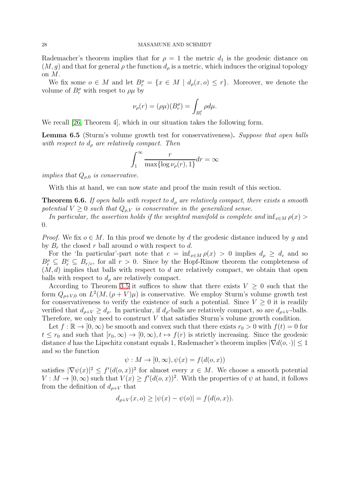Rademacher's theorem implies that for  $\rho = 1$  the metric  $d_1$  is the geodesic distance on  $(M, g)$  and that for general  $\rho$  the function  $d_{\rho}$  is a metric, which induces the original topology on M.

We fix some  $o \in M$  and let  $B_r^{\rho} = \{x \in M \mid d_{\rho}(x, o) \leq r\}$ . Moreover, we denote the volume of  $B_r^{\rho}$  with respet to  $\rho \mu$  by

$$
\nu_{\rho}(r) = (\rho \mu)(B_r^{\rho}) = \int_{B_r^{\rho}} \rho d\mu.
$$

We recall [\[26,](#page-33-3) Theorem 4], which in our situation takes the following form.

Lemma 6.5 (Sturm's volume growth test for conservativeness). Suppose that open balls with respect to  $d_{\rho}$  are relatively compact. Then

$$
\int_{1}^{\infty} \frac{r}{\max\{\log \nu_{\rho}(r), 1\}} dr = \infty
$$

implies that  $Q_{\rho,0}$  is conservative.

With this at hand, we can now state and proof the main result of this section.

**Theorem 6.6.** If open balls with respect to  $d_{\rho}$  are relatively compact, there exists a smooth potential  $V \geq 0$  such that  $Q_{\rho,V}$  is conservative in the generalized sense.

In particular, the assertion holds if the weighted manifold is complete and  $\inf_{x \in M} \rho(x)$ 0.

*Proof.* We fix  $o \in M$ . In this proof we denote by d the geodesic distance induced by g and by  $B_r$  the closed r ball around o with respect to d.

For the 'In particular'-part note that  $c = \inf_{x \in M} \rho(x) > 0$  implies  $d_{\rho} \geq d_c$  and so  $B_r^{\rho} \subseteq B_r^c \subseteq B_{r/c}$ , for all  $r > 0$ . Since by the Hopf-Rinow theorem the completeness of  $(M, d)$  implies that balls with respect to d are relatively compact, we obtain that open balls with respect to  $d_{\rho}$  are relatively compact.

According to Theorem 3.5 it suffices to show that there exists  $V \geq 0$  such that the form  $Q_{\rho+V,0}$  on  $L^2(M, (\rho+V)\mu)$  is conservative. We employ Sturm's volume growth test for conservativeness to verify the existence of such a potential. Since  $V \geq 0$  it is readily verified that  $d_{\rho+V} \geq d_{\rho}$ . In particular, if  $d_{\rho}$ -balls are relatively compact, so are  $d_{\rho+V}$ -balls. Therefore, we only need to construct V that satisfies Sturm's volume growth condition.

Let  $f : \mathbb{R} \to [0, \infty)$  be smooth and convex such that there exists  $r_0 > 0$  with  $f(t) = 0$  for  $t \leq r_0$  and such that  $[r_0, \infty) \to [0, \infty), t \mapsto f(r)$  is strictly increasing. Since the geodesic distance d has the Lipschitz constant equals 1, Rademacher's theorem implies  $|\nabla d(o, \cdot)| \leq 1$ and so the function

$$
\psi: M \to [0, \infty), \psi(x) = f(d(o, x))
$$

satisfies  $|\nabla \psi(x)|^2 \le f'(d(o, x))^2$  for almost every  $x \in M$ . We choose a smooth potential  $V: M \to [0, \infty)$  such that  $V(x) \geq f'(d(o, x))^2$ . With the properties of  $\psi$  at hand, it follows from the definition of  $d_{\rho+V}$  that

$$
d_{\rho+V}(x, o) \ge |\psi(x) - \psi(o)| = f(d(o, x)).
$$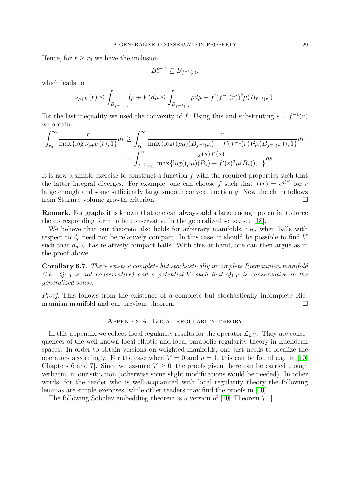Hence, for  $r \geq r_0$  we have the inclusion

$$
B_r^{\rho+V} \subseteq B_{f^{-1}(r)},
$$

which leads to

$$
\nu_{\rho+V}(r)\leq \int_{B_{f^{-1}(r)}} (\rho+V)d\mu \leq \int_{B_{f^{-1}(r)}} \rho d\mu + f'(f^{-1}(r))^2 \mu(B_{f^{-1}(r)}).
$$

For the last inequality we used the convexity of f. Using this and substituting  $s = f^{-1}(r)$ we obtain

$$
\int_{r_0}^{\infty} \frac{r}{\max\{\log \nu_{\rho+V}(r), 1\}} dr \ge \int_{r_0}^{\infty} \frac{r}{\max\{\log((\rho\mu)(B_{f^{-1}(r)}) + f'(f^{-1}(r))^2 \mu(B_{f^{-1}(r)})), 1\}} dr
$$

$$
= \int_{f^{-1}(r_0)}^{\infty} \frac{f(s)f'(s)}{\max\{\log((\rho\mu)(B_s) + f'(s)^2 \mu(B_s)), 1\}} ds.
$$

It is now a simple exercise to construct a function f with the required properties such that the latter integral diverges. For example, one can choose f such that  $f(r) = e^{g(r)}$  for r large enough and some sufficiently large smooth convex function  $q$ . Now the claim follows from Sturm's volume growth criterion.

Remark. For graphs it is known that one can always add a large enough potential to force the corresponding form to be conservative in the generalized sense, see [\[18\]](#page-33-5).

We believe that our theorem also holds for arbitrary manifolds, i.e., when balls with respect to  $d_{\rho}$  need not be relatively compact. In this case, it should be possible to find V such that  $d_{\rho+V}$  has relatively compact balls. With this at hand, one can then argue as in the proof above.

Corollary 6.7. There exists a complete but stochastically incomplete Riemannian manifold (i.e.  $Q_{1,0}$  is not conservative) and a potential V such that  $Q_{1,V}$  is conservative in the generalized sense.

<span id="page-28-0"></span>Proof. This follows from the existence of a complete but stochastically incomplete Riemannian manifold and our previous theorem.

# Appendix A. Local regularity theory

In this appendix we collect local regularity results for the operator  $\mathcal{L}_{\rho,V}$ . They are consequences of the well-known local elliptic and local parabolic regularity theory in Euclidean spaces. In order to obtain versions on weighted manifolds, one just needs to localize the operators accordingly. For the case when  $V = 0$  and  $\rho = 1$ , this can be found e.g. in [\[10,](#page-32-7) Chapters 6 and 7. Since we assume  $V \geq 0$ , the proofs given there can be carried trough verbatim in our situation (otherwise some slight modifications would be needed). In other words, for the reader who is well-acquainted with local regularity theory the following lemmas are simple exercises, while other readers may find the proofs in [\[10\]](#page-32-7).

The following Sobolev embedding theorem is a version of [\[10,](#page-32-7) Theorem 7.1].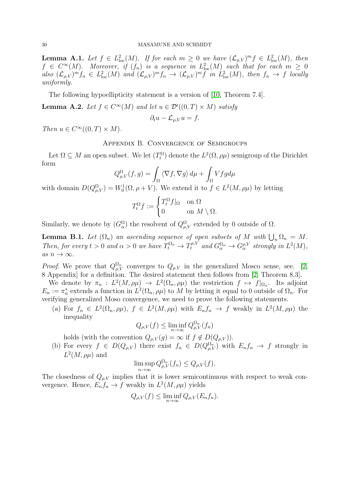<span id="page-29-1"></span>**Lemma A.1.** Let  $f \in L^2_{loc}(M)$ . If for each  $m \geq 0$  we have  $(\mathcal{L}_{\rho,V})^m f \in L^2_{loc}(M)$ , then  $f \in C^{\infty}(M)$ . Moreover, if  $(f_n)$  is a sequence in  $L^2_{loc}(M)$  such that for each  $m \geq 0$ also  $(\mathcal{L}_{\rho,V})^m f_n \in L^2_{loc}(M)$  and  $(\mathcal{L}_{\rho,V})^m f_n \to (\mathcal{L}_{\rho,V})^m f$  in  $L^2_{loc}(M)$ , then  $f_n \to f$  locally uniformly.

The following hypoellipticity statement is a version of [\[10,](#page-32-7) Theorem 7.4].

<span id="page-29-0"></span>**Lemma A.2.** Let  $f \in C^{\infty}(M)$  and let  $u \in \mathcal{D}'((0,T) \times M)$  satisfy

$$
\partial_t u - \mathcal{L}_{\rho,V} u = f.
$$

Then  $u \in C^{\infty}((0, T) \times M)$ .

# Appendix B. Convergence of Semigroups

Let  $\Omega \subseteq M$  an open subset. We let  $(T_t^{\Omega})$  denote the  $L^2(\Omega, \rho\mu)$  semigroup of the Dirichlet form

$$
Q_{\rho,V}^{\Omega}(f,g) = \int_{\Omega} \langle \nabla f, \nabla g \rangle d\mu + \int_{\Omega} V f g d\mu
$$

with domain  $D(Q_{\rho,V}^{\Omega}) = W_0^1(\Omega, \rho + V)$ . We extend it to  $f \in L^2(M, \rho \mu)$  by letting

$$
T_t^{\Omega}f := \begin{cases} T_t^{\Omega}f|_{\Omega} & \text{on } \Omega \\ 0 & \text{on } M \setminus \Omega. \end{cases}
$$

Similarly, we denote by  $(G_{\alpha}^{\Omega})$  the resolvent of  $Q_{\rho,V}^{\Omega}$  extended by 0 outside of  $\Omega$ .

<span id="page-29-2"></span>**Lemma B.1.** Let  $(\Omega_n)$  an ascending sequence of open subsets of M with  $\bigcup_n \Omega_n = M$ . Then, for every  $t > 0$  and  $\alpha > 0$  we have  $T_t^{\Omega_n} \to T_t^{\rho, V}$  and  $G_\alpha^{\Omega_n} \to G_\alpha^{\rho, V}$  strongly in  $L^2(M)$ , as  $n \to \infty$ .

*Proof.* We prove that  $Q_{\rho,V}^{\Omega_n}$  converges to  $Q_{\rho,V}$  in the generalized Mosco sense, see. [\[2,](#page-32-9) 8 Appendix] for a definition. The desired statement then follows from [\[2,](#page-32-9) Theorem 8.3].

We denote by  $\pi_n : L^2(M, \rho\mu) \to L^2(\Omega_n, \rho\mu)$  the restriction  $f \mapsto f|_{\Omega_n}$ . Its adjoint  $E_n := \pi_n^*$  extends a function in  $L^2(\Omega_n, \rho\mu)$  to M by letting it equal to 0 outside of  $\Omega_n$ . For verifying generalized Moso convergence, we need to prove the following statements.

(a) For  $f_n \in L^2(\Omega_n, \rho\mu)$ ,  $f \in L^2(M, \rho\mu)$  with  $E_n f_n \to f$  weakly in  $L^2(M, \rho\mu)$  the inequality

$$
Q_{\rho,V}(f) \le \liminf_{n \to \infty} Q_{\rho,V}^{\Omega_n}(f_n)
$$

holds (with the convention  $Q_{\rho,V}(g) = \infty$  if  $f \notin D(Q_{\rho,V})$ ).

(b) For every  $f \in D(Q_{\rho,V})$  there exist  $f_n \in D(Q_{\rho,V}^{\Omega_n})$  with  $E_n f_n \to f$  strongly in  $L^2(M,\rho\mu)$  and

$$
\limsup_{n \to \infty} Q_{\rho,V}^{\Omega_n}(f_n) \le Q_{\rho,V}(f).
$$

The closedness of  $Q_{\rho,V}$  implies that it is lower semicontinuous with respect to weak convergence. Hence,  $E_n f_n \to f$  weakly in  $L^2(M, \rho\mu)$  yields

$$
Q_{\rho,V}(f) \le \liminf_{n \to \infty} Q_{\rho,V}(E_n f_n).
$$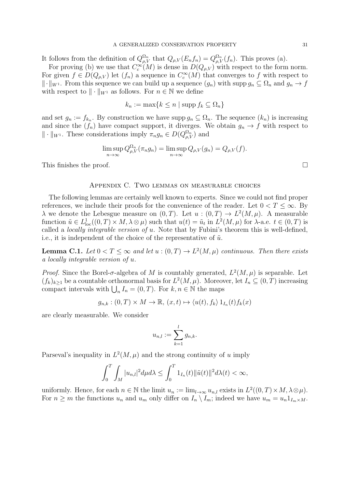It follows from the definition of  $Q_{\rho,V}^{\Omega_n}$  that  $Q_{\rho,V}(E_nf_n)=Q_{\rho,V}^{\Omega_n}(f_n)$ . This proves (a).

For proving (b) we use that  $C_c^{\infty}(M)$  is dense in  $D(Q_{\rho,V})$  with respect to the form norm. For given  $f \in D(Q_{\rho,V})$  let  $(f_n)$  a sequence in  $C_c^{\infty}(M)$  that converges to f with respect to  $\Vert \cdot \Vert_{W^1}$ . From this sequence we can build up a sequence  $(g_n)$  with supp  $g_n \subseteq \Omega_n$  and  $g_n \to f$ with respect to  $\|\cdot\|_{W^1}$  as follows. For  $n \in \mathbb{N}$  we define

$$
k_n := \max\{k \le n \mid \operatorname{supp} f_k \subseteq \Omega_n\}
$$

and set  $g_n := f_{k_n}$ . By construction we have supp  $g_n \subseteq \Omega_n$ . The sequence  $(k_n)$  is increasing and since the  $(f_n)$  have compact support, it diverges. We obtain  $g_n \to f$  with respect to  $\|\cdot\|_{W^1}$ . These considerations imply  $\pi_n g_n \in D(Q_{\rho,V}^{\Omega_n})$  and

$$
\limsup_{n \to \infty} Q_{\rho,V}^{\Omega_n}(\pi_n g_n) = \limsup_{n \to \infty} Q_{\rho,V}(g_n) = Q_{\rho,V}(f).
$$

This finishes the proof.  $\Box$ 

## Appendix C. Two lemmas on measurable choices

The following lemmas are certainly well known to experts. Since we could not find proper references, we include their proofs for the convenience of the reader. Let  $0 < T < \infty$ . By  $\lambda$  we denote the Lebesgue measure on  $(0,T)$ . Let  $u:(0,T) \to L^2(M,\mu)$ . A measurable function  $\tilde{u} \in L^1_{loc}((0,T) \times M, \lambda \otimes \mu)$  such that  $u(t) = \tilde{u}_t$  in  $L^2(M,\mu)$  for  $\lambda$ -a.e.  $t \in (0,T)$  is called a *locally integrable version of u*. Note that by Fubini's theorem this is well-defined, i.e., it is independent of the choice of the representative of  $\tilde{u}$ .

**Lemma C.1.** Let  $0 < T \leq \infty$  and let  $u : (0, T) \to L^2(M, \mu)$  continuous. Then there exists a locally integrable version of u.

*Proof.* Since the Borel- $\sigma$ -algebra of M is countably generated,  $L^2(M,\mu)$  is separable. Let  $(f_k)_{k\geq 1}$  be a countable orthonormal basis for  $L^2(M,\mu)$ . Moreover, let  $I_n\subseteq (0,T)$  increasing compact intervals with  $\bigcup_n I_n = (0, T)$ . For  $k, n \in \mathbb{N}$  the maps

$$
g_{n,k}:(0,T)\times M\to\mathbb{R},\ (x,t)\mapsto\langle u(t),f_k\rangle 1_{I_n}(t)f_k(x)
$$

are clearly measurable. We consider

$$
u_{n,l} := \sum_{k=1}^l g_{n,k}.
$$

Parseval's inequality in  $L^2(M,\mu)$  and the strong continuity of u imply

$$
\int_0^T \int_M |u_{n,l}|^2 d\mu d\lambda \le \int_0^T 1_{I_n}(t) \|\tilde{u}(t)\|^2 d\lambda(t) < \infty,
$$

uniformly. Hence, for each  $n \in \mathbb{N}$  the limit  $u_n := \lim_{l \to \infty} u_{n,l}$  exists in  $L^2((0,T) \times M, \lambda \otimes \mu)$ . For  $n \geq m$  the functions  $u_n$  and  $u_m$  only differ on  $I_n \setminus I_m$ ; indeed we have  $u_m = u_n 1_{I_m \times M}$ .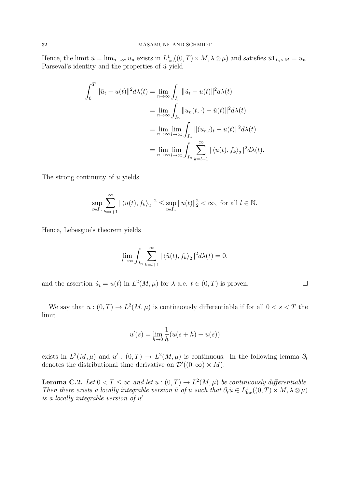Hence, the limit  $\tilde{u} = \lim_{n \to \infty} u_n$  exists in  $L^1_{loc}((0, T) \times M, \lambda \otimes \mu)$  and satisfies  $\tilde{u}1_{I_n \times M} = u_n$ . Parseval's identity and the properties of  $\tilde{u}$  yield

$$
\int_0^T \|\tilde{u}_t - u(t)\|^2 d\lambda(t) = \lim_{n \to \infty} \int_{I_n} \|\tilde{u}_t - u(t)\|^2 d\lambda(t)
$$
  
\n
$$
= \lim_{n \to \infty} \int_{I_n} \|u_n(t, \cdot) - \tilde{u}(t)\|^2 d\lambda(t)
$$
  
\n
$$
= \lim_{n \to \infty} \lim_{l \to \infty} \int_{I_n} \|u_{n,l}\|_{L^2} + \int_{L^2} |u(t)|^2 d\lambda(t)
$$
  
\n
$$
= \lim_{n \to \infty} \lim_{l \to \infty} \int_{I_n} \sum_{k=l+1}^{\infty} |\langle u(t), f_k \rangle_2|^2 d\lambda(t).
$$

The strong continuity of u yields

$$
\sup_{t\in I_n}\sum_{k=l+1}^{\infty}|\langle u(t), f_k\rangle_2|^2 \le \sup_{t\in I_n}\|u(t)\|_2^2 < \infty, \text{ for all } l \in \mathbb{N}.
$$

Hence, Lebesgue's theorem yields

$$
\lim_{l \to \infty} \int_{I_n} \sum_{k=l+1}^{\infty} |\langle \tilde{u}(t), f_k \rangle_2|^2 d\lambda(t) = 0,
$$

and the assertion  $\tilde{u}_t = u(t)$  in  $L^2(M, \mu)$  for  $\lambda$ -a.e.  $t \in (0, T)$  is proven.

We say that  $u:(0,T) \to L^2(M,\mu)$  is continuously differentiable if for all  $0 < s < T$  the limit

$$
u'(s) = \lim_{h \to 0} \frac{1}{h}(u(s+h) - u(s))
$$

exists in  $L^2(M,\mu)$  and  $u' : (0,T) \to L^2(M,\mu)$  is continuous. In the following lemma  $\partial_t$ denotes the distributional time derivative on  $\mathcal{D}'((0,\infty) \times M)$ .

<span id="page-31-0"></span>**Lemma C.2.** Let  $0 < T \leq \infty$  and let  $u : (0, T) \to L^2(M, \mu)$  be continuously differentiable. Then there exists a locally integrable version  $\tilde{u}$  of u such that  $\partial_t \tilde{u} \in L^1_{loc}((0,T) \times M, \lambda \otimes \mu)$ is a locally integrable version of  $u'$ .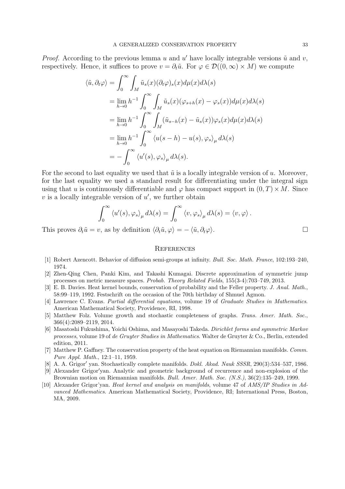*Proof.* According to the previous lemma u and u' have locally integrable versions  $\tilde{u}$  and v, respectively. Hence, it suffices to prove  $v = \partial_t \tilde{u}$ . For  $\varphi \in \mathcal{D}((0,\infty) \times M)$  we compute

$$
\langle \tilde{u}, \partial_t \varphi \rangle = \int_0^\infty \int_M \tilde{u}_s(x) (\partial_t \varphi)_s(x) d\mu(x) d\lambda(s)
$$
  
\n
$$
= \lim_{h \to 0} h^{-1} \int_0^\infty \int_M \tilde{u}_s(x) (\varphi_{s+h}(x) - \varphi_s(x)) d\mu(x) d\lambda(s)
$$
  
\n
$$
= \lim_{h \to 0} h^{-1} \int_0^\infty \int_M (\tilde{u}_{s-h}(x) - \tilde{u}_s(x)) \varphi_s(x) d\mu(x) d\lambda(s)
$$
  
\n
$$
= \lim_{h \to 0} h^{-1} \int_0^\infty \langle u(s-h) - u(s), \varphi_s \rangle_\mu d\lambda(s)
$$
  
\n
$$
= - \int_0^\infty \langle u'(s), \varphi_s \rangle_\mu d\lambda(s).
$$

For the second to last equality we used that  $\tilde{u}$  is a locally integrable version of u. Moreover, for the last equality we used a standard result for differentiating under the integral sign using that u is continuously differentiable and  $\varphi$  has compact support in  $(0, T) \times M$ . Since  $v$  is a locally integrable version of  $u'$ , we further obtain

$$
\int_0^\infty \langle u'(s), \varphi_s \rangle_\mu \, d\lambda(s) = \int_0^\infty \langle v, \varphi_s \rangle_\mu \, d\lambda(s) = \langle v, \varphi \rangle \, .
$$

This proves  $\partial_t \tilde{u} = v$ , as by definition  $\langle \partial_t \tilde{u}, \varphi \rangle = - \langle \tilde{u}, \partial_t \varphi \rangle$ .

## **REFERENCES**

- <span id="page-32-9"></span><span id="page-32-1"></span>[1] Robert Azencott. Behavior of diffusion semi-groups at infinity. Bull. Soc. Math. France, 102:193–240, 1974.
- [2] Zhen-Qing Chen, Panki Kim, and Takashi Kumagai. Discrete approximation of symmetric jump processes on metric measure spaces. Probab. Theory Related Fields, 155(3-4):703–749, 2013.
- <span id="page-32-4"></span>[3] E. B. Davies. Heat kernel bounds, conservation of probability and the Feller property. J. Anal. Math., 58:99–119, 1992. Festschrift on the occasion of the 70th birthday of Shmuel Agmon.
- <span id="page-32-8"></span>[4] Lawrence C. Evans. Partial differential equations, volume 19 of Graduate Studies in Mathematics. American Mathematical Society, Providence, RI, 1998.
- <span id="page-32-6"></span>[5] Matthew Folz. Volume growth and stochastic completeness of graphs. Trans. Amer. Math. Soc., 366(4):2089–2119, 2014.
- <span id="page-32-0"></span>[6] Masatoshi Fukushima, Yoichi Oshima, and Masayoshi Takeda. Dirichlet forms and symmetric Markov processes, volume 19 of de Gruyter Studies in Mathematics. Walter de Gruyter & Co., Berlin, extended edition, 2011.
- <span id="page-32-2"></span>[7] Matthew P. Gaffney. The conservation property of the heat equation on Riemannian manifolds. Comm. Pure Appl. Math., 12:1–11, 1959.
- <span id="page-32-5"></span><span id="page-32-3"></span>[8] A. A. Grigor′ yan. Stochastically complete manifolds. Dokl. Akad. Nauk SSSR, 290(3):534–537, 1986.
- [9] Alexander Grigor′yan. Analytic and geometric background of recurrence and non-explosion of the Brownian motion on Riemannian manifolds. Bull. Amer. Math. Soc. (N.S.), 36(2):135–249, 1999.
- <span id="page-32-7"></span>[10] Alexander Grigor'yan. Heat kernel and analysis on manifolds, volume 47 of AMS/IP Studies in Advanced Mathematics. American Mathematical Society, Providence, RI; International Press, Boston, MA, 2009.